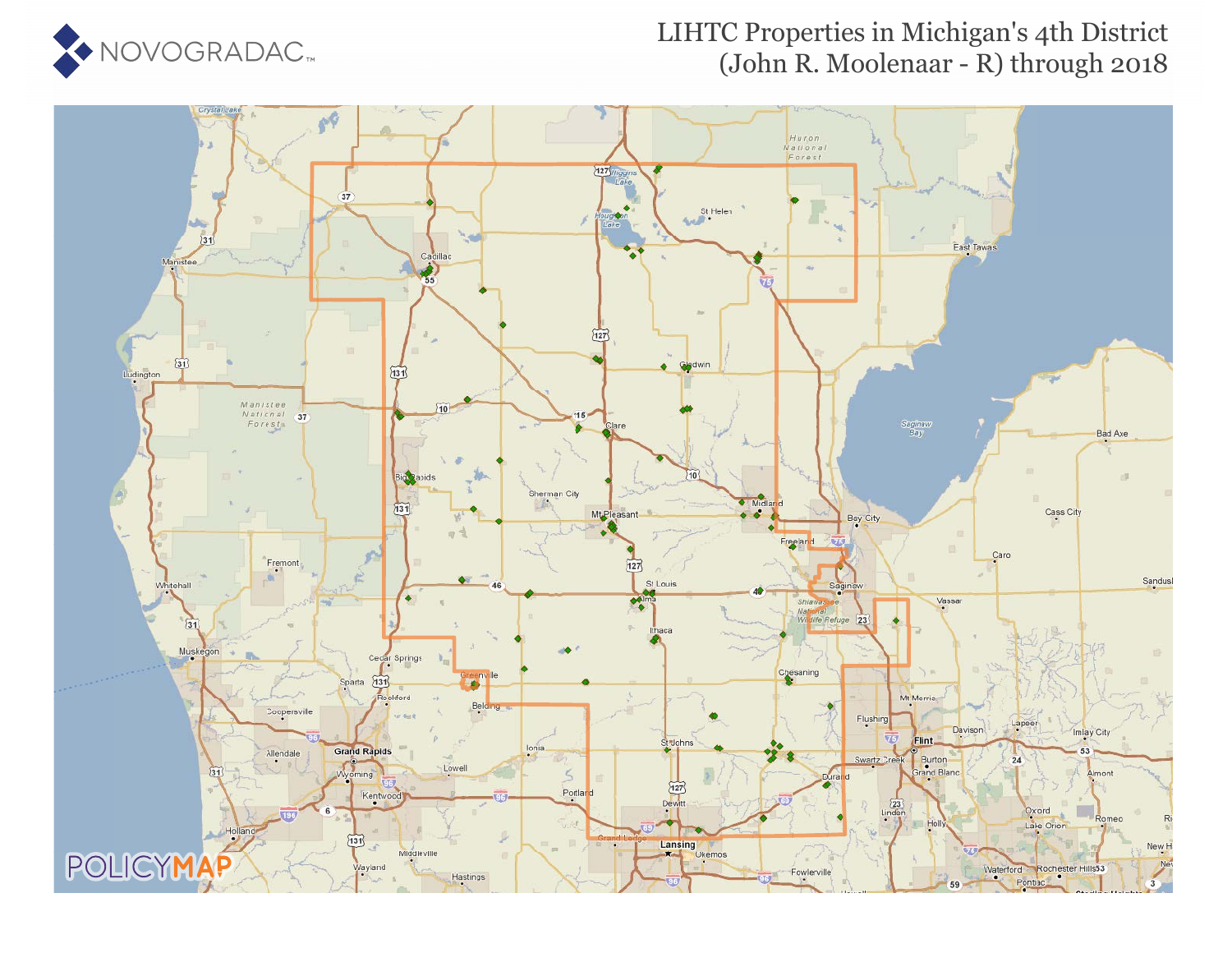

#### LIHTC Properties in Michigan's 4th District (John R. Moolenaar - R) through 2018

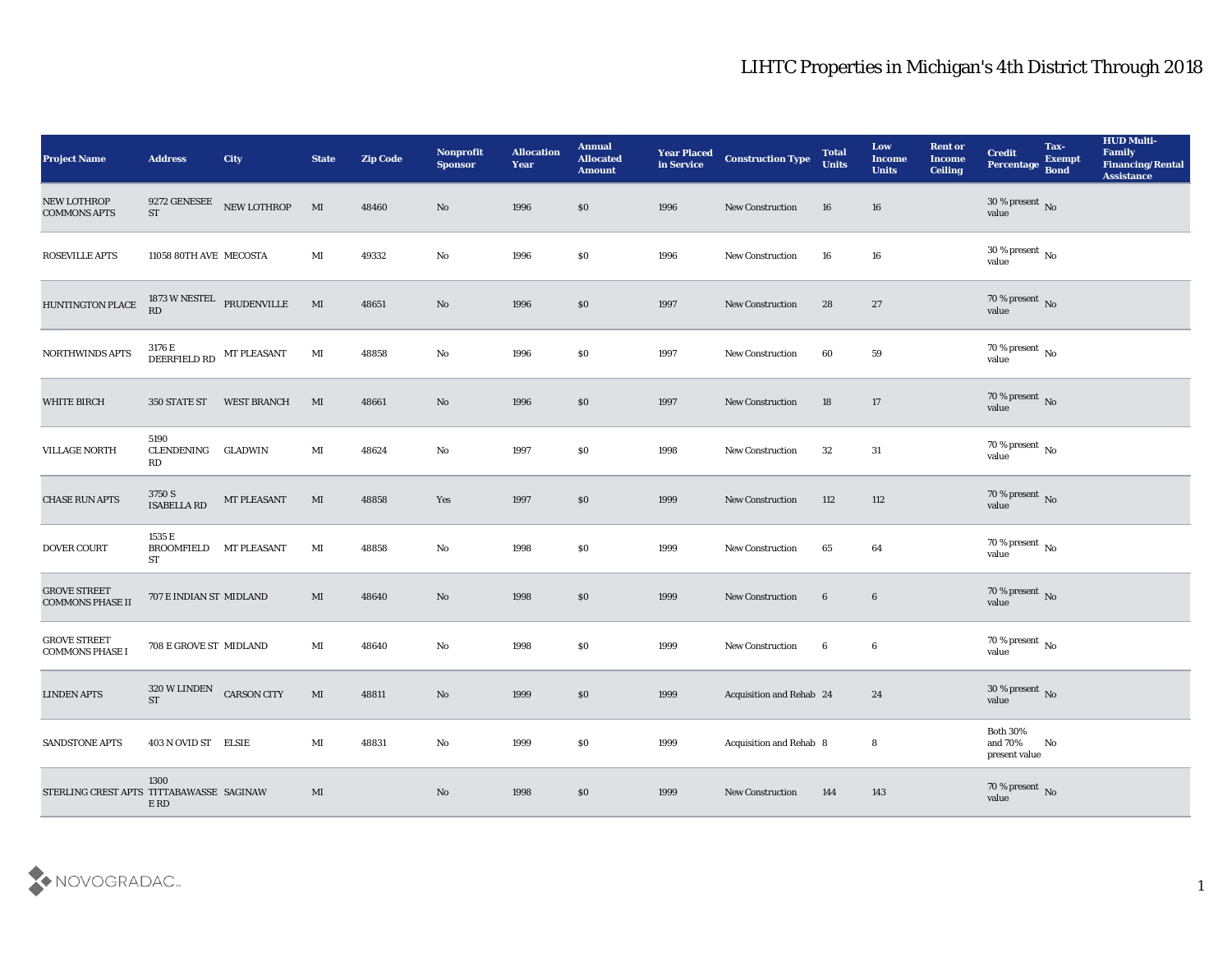| <b>Project Name</b>                            | <b>Address</b>                                   | City                      | <b>State</b>   | <b>Zip Code</b> | Nonprofit<br><b>Sponsor</b> | <b>Allocation</b><br><b>Year</b> | <b>Annual</b><br><b>Allocated</b><br><b>Amount</b> | <b>Year Placed</b><br>in Service | <b>Construction Type</b> | <b>Total</b><br><b>Units</b> | Low<br><b>Income</b><br><b>Units</b> | <b>Rent or</b><br><b>Income</b><br><b>Ceiling</b> | <b>Credit</b><br>Percentage                | Tax-<br><b>Exempt</b><br><b>Bond</b> | <b>HUD Multi-</b><br>Family<br><b>Financing/Rental</b><br><b>Assistance</b> |
|------------------------------------------------|--------------------------------------------------|---------------------------|----------------|-----------------|-----------------------------|----------------------------------|----------------------------------------------------|----------------------------------|--------------------------|------------------------------|--------------------------------------|---------------------------------------------------|--------------------------------------------|--------------------------------------|-----------------------------------------------------------------------------|
| <b>NEW LOTHROP</b><br><b>COMMONS APTS</b>      | <b>ST</b>                                        | 9272 GENESEE NEW LOTHROP  | MI             | 48460           | No                          | 1996                             | \$0                                                | 1996                             | <b>New Construction</b>  | 16                           | 16                                   |                                                   | $30\,\%$ present $\,$ No value             |                                      |                                                                             |
| <b>ROSEVILLE APTS</b>                          | 11058 80TH AVE MECOSTA                           |                           | MI             | 49332           | No                          | 1996                             | \$0                                                | 1996                             | <b>New Construction</b>  | 16                           | 16                                   |                                                   | $30\,\%$ present $\,$ No value             |                                      |                                                                             |
| HUNTINGTON PLACE                               | RD                                               | 1873 W NESTEL PRUDENVILLE | MI             | 48651           | $\mathbf{N}\mathbf{o}$      | 1996                             | $\$0$                                              | 1997                             | <b>New Construction</b>  | 28                           | 27                                   |                                                   | $70\,\%$ present $\,$ No value             |                                      |                                                                             |
| <b>NORTHWINDS APTS</b>                         | $3176\,\mathrm{E}$ DEERFIELD RD $\,$ MT PLEASANT |                           | MI             | 48858           | No                          | 1996                             | \$0                                                | 1997                             | New Construction         | 60                           | 59                                   |                                                   | $70\,\%$ present $\,$ No value             |                                      |                                                                             |
| <b>WHITE BIRCH</b>                             | 350 STATE ST                                     | <b>WEST BRANCH</b>        | MI             | 48661           | No                          | 1996                             | \$0                                                | 1997                             | <b>New Construction</b>  | 18                           | 17                                   |                                                   | $70\,\%$ present $\,$ No value             |                                      |                                                                             |
| <b>VILLAGE NORTH</b>                           | 5190<br>CLENDENING<br>RD                         | <b>GLADWIN</b>            | MI             | 48624           | No                          | 1997                             | \$0                                                | 1998                             | <b>New Construction</b>  | 32                           | 31                                   |                                                   | $70\,\%$ present $\,$ No value             |                                      |                                                                             |
| <b>CHASE RUN APTS</b>                          | 3750 S<br>ISABELLA RD                            | MT PLEASANT               | $\mathbf{M}$   | 48858           | Yes                         | 1997                             | $\$0$                                              | 1999                             | New Construction         | 112                          | 112                                  |                                                   | $70\,\%$ present $\,$ No value             |                                      |                                                                             |
| <b>DOVER COURT</b>                             | 1535 E<br><b>BROOMFIELD</b><br>ST                | <b>MT PLEASANT</b>        | MI             | 48858           | No                          | 1998                             | \$0                                                | 1999                             | <b>New Construction</b>  | 65                           | 64                                   |                                                   | $70\,\%$ present $\,$ No value             |                                      |                                                                             |
| <b>GROVE STREET</b><br><b>COMMONS PHASE II</b> | 707 E INDIAN ST MIDLAND                          |                           | MI             | 48640           | No                          | 1998                             | $\boldsymbol{\mathsf{S}}\boldsymbol{\mathsf{O}}$   | 1999                             | New Construction         | 6                            | $6\phantom{.}6$                      |                                                   | $70\,\%$ present $\,$ No value             |                                      |                                                                             |
| <b>GROVE STREET</b><br><b>COMMONS PHASE I</b>  | 708 E GROVE ST MIDLAND                           |                           | $\mathbf{M}$ I | 48640           | $\mathbf{N}\mathbf{o}$      | 1998                             | \$0                                                | 1999                             | <b>New Construction</b>  | $6\phantom{.0}$              | 6                                    |                                                   | $70\,\%$ present $\,$ No value             |                                      |                                                                             |
| <b>LINDEN APTS</b>                             | 320 W LINDEN CARSON CITY<br><b>ST</b>            |                           | MI             | 48811           | No                          | 1999                             | \$0                                                | 1999                             | Acquisition and Rehab 24 |                              | 24                                   |                                                   | $30\,\%$ present $\,$ No value             |                                      |                                                                             |
| <b>SANDSTONE APTS</b>                          | 403 N OVID ST ELSIE                              |                           | MI             | 48831           | $\rm\thinspace No$          | 1999                             | \$0                                                | 1999                             | Acquisition and Rehab 8  |                              | 8                                    |                                                   | Both $30\%$<br>and $70\%$<br>present value | No                                   |                                                                             |
| STERLING CREST APTS TITTABAWASSE SAGINAW       | 1300<br>E RD                                     |                           | $\mathbf{M}$   |                 | $\rm\thinspace No$          | 1998                             | $\$0$                                              | 1999                             | <b>New Construction</b>  | 144                          | 143                                  |                                                   | $70\,\%$ present $\,$ No value             |                                      |                                                                             |

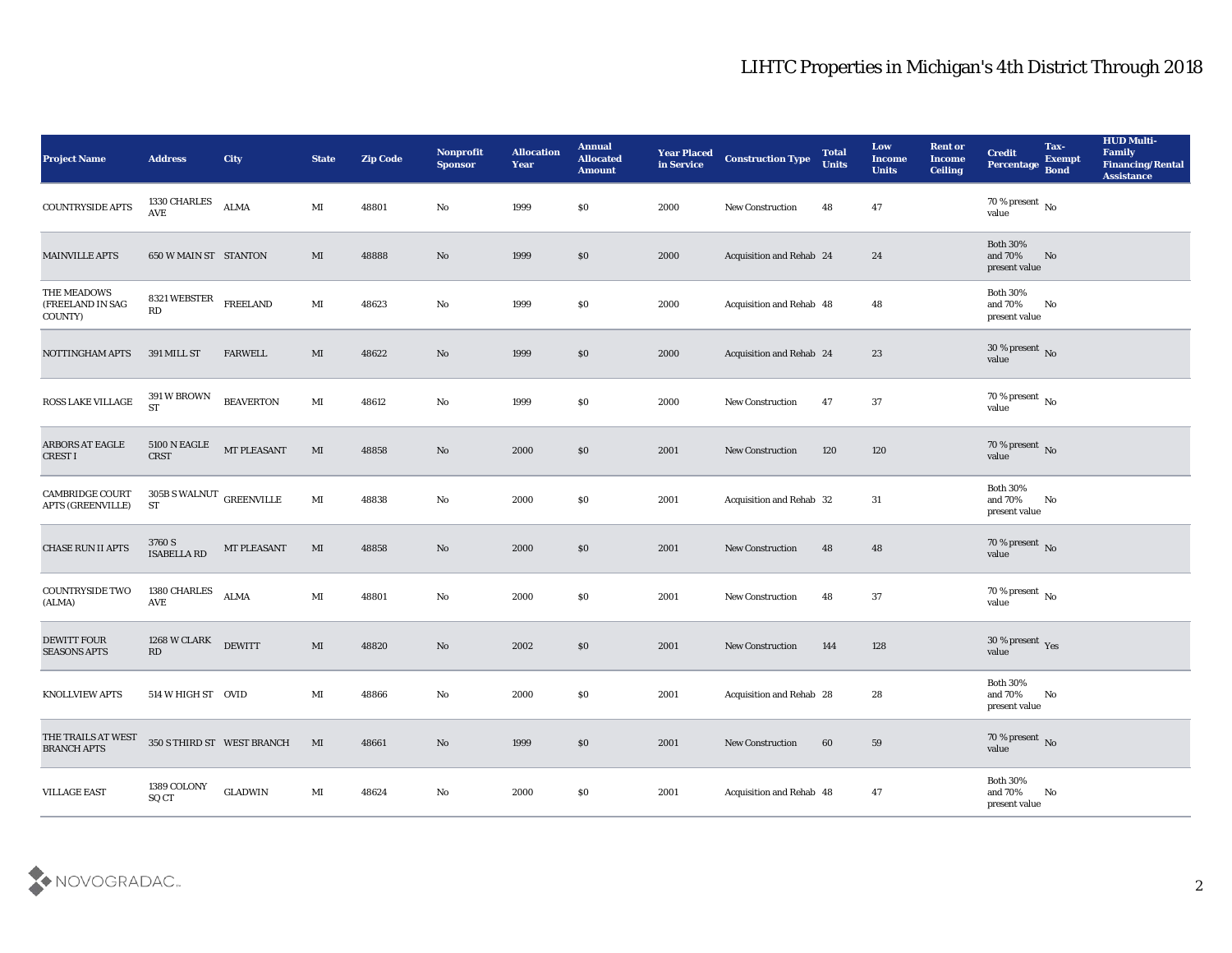| <b>Project Name</b>                                | <b>Address</b>                                 | City                       | <b>State</b>           | <b>Zip Code</b> | Nonprofit<br><b>Sponsor</b> | <b>Allocation</b><br><b>Year</b> | <b>Annual</b><br><b>Allocated</b><br><b>Amount</b> | <b>Year Placed</b><br>in Service | <b>Construction Type</b> | <b>Total</b><br><b>Units</b> | Low<br>Income<br><b>Units</b> | <b>Rent or</b><br><b>Income</b><br><b>Ceiling</b> | <b>Credit</b><br>Percentage                      | Tax-<br><b>Exempt</b><br><b>Bond</b> | <b>HUD Multi-</b><br>Family<br><b>Financing/Rental</b><br><b>Assistance</b> |
|----------------------------------------------------|------------------------------------------------|----------------------------|------------------------|-----------------|-----------------------------|----------------------------------|----------------------------------------------------|----------------------------------|--------------------------|------------------------------|-------------------------------|---------------------------------------------------|--------------------------------------------------|--------------------------------------|-----------------------------------------------------------------------------|
| <b>COUNTRYSIDE APTS</b>                            | 1330 CHARLES<br>$\operatorname{\mathbf{AVE}}$  | <b>ALMA</b>                | MI                     | 48801           | No                          | 1999                             | $\$0$                                              | 2000                             | <b>New Construction</b>  | 48                           | 47                            |                                                   | 70 % present No<br>value                         |                                      |                                                                             |
| <b>MAINVILLE APTS</b>                              | 650 W MAIN ST STANTON                          |                            | MI                     | 48888           | No                          | 1999                             | \$0                                                | 2000                             | Acquisition and Rehab 24 |                              | 24                            |                                                   | <b>Both 30%</b><br>and 70%<br>present value      | No                                   |                                                                             |
| THE MEADOWS<br>(FREELAND IN SAG<br>COUNTY)         | 8321 WEBSTER<br>RD                             | <b>FREELAND</b>            | $\mathbf{M}$           | 48623           | No                          | 1999                             | \$0                                                | 2000                             | Acquisition and Rehab 48 |                              | 48                            |                                                   | <b>Both 30%</b><br>and 70%<br>present value      | No                                   |                                                                             |
| NOTTINGHAM APTS                                    | 391 MILL ST                                    | <b>FARWELL</b>             | MI                     | 48622           | No                          | 1999                             | \$0\$                                              | 2000                             | Acquisition and Rehab 24 |                              | 23                            |                                                   | $30\,\%$ present $\,$ No value                   |                                      |                                                                             |
| ROSS LAKE VILLAGE                                  | 391 W BROWN<br><b>ST</b>                       | <b>BEAVERTON</b>           | MI                     | 48612           | No                          | 1999                             | \$0\$                                              | 2000                             | New Construction         | 47                           | 37                            |                                                   | $70\,\%$ present $\,$ No value                   |                                      |                                                                             |
| ARBORS AT EAGLE<br><b>CREST I</b>                  | <b>5100 N EAGLE</b><br><b>CRST</b>             | MT PLEASANT                | MI                     | 48858           | No                          | 2000                             | \$0                                                | 2001                             | <b>New Construction</b>  | 120                          | 120                           |                                                   | $70\,\%$ present $\,$ No value                   |                                      |                                                                             |
| <b>CAMBRIDGE COURT</b><br><b>APTS (GREENVILLE)</b> | $305\mathrm{B}$ S WALNUT $\,$ GREENVILLE<br>ST |                            | $\mathbf{M}\mathbf{I}$ | 48838           | $\mathbf{N}\mathbf{o}$      | 2000                             | $\$0$                                              | 2001                             | Acquisition and Rehab 32 |                              | 31                            |                                                   | <b>Both 30%</b><br>and 70%<br>present value      | No                                   |                                                                             |
| CHASE RUN II APTS                                  | 3760 S<br><b>ISABELLA RD</b>                   | MT PLEASANT                | MI                     | 48858           | No                          | 2000                             | \$0                                                | 2001                             | <b>New Construction</b>  | 48                           | 48                            |                                                   | 70 % present $\,$ No $\,$<br>value               |                                      |                                                                             |
| COUNTRYSIDE TWO<br>(ALMA)                          | 1380 CHARLES<br>AVE                            | <b>ALMA</b>                | MI                     | 48801           | No                          | 2000                             | \$0\$                                              | 2001                             | <b>New Construction</b>  | 48                           | 37                            |                                                   | $70\,\%$ present $\,$ No value                   |                                      |                                                                             |
| <b>DEWITT FOUR</b><br><b>SEASONS APTS</b>          | 1268 W CLARK<br>RD                             | <b>DEWITT</b>              | $\mathbf{M}\mathbf{I}$ | 48820           | No                          | 2002                             | \$0\$                                              | 2001                             | <b>New Construction</b>  | 144                          | 128                           |                                                   | $30\,\%$ present $\,$ Yes value                  |                                      |                                                                             |
| <b>KNOLLVIEW APTS</b>                              | 514 W HIGH ST OVID                             |                            | MI                     | 48866           | No                          | 2000                             | \$0                                                | 2001                             | Acquisition and Rehab 28 |                              | 28                            |                                                   | <b>Both 30%</b><br>and 70%<br>$\,$ present value | No                                   |                                                                             |
| THE TRAILS AT WEST<br><b>BRANCH APTS</b>           |                                                | 350 S THIRD ST WEST BRANCH | MI                     | 48661           | $\rm\thinspace No$          | 1999                             | $\$0$                                              | 2001                             | New Construction         | 60                           | 59                            |                                                   | 70 % present No<br>value                         |                                      |                                                                             |
| <b>VILLAGE EAST</b>                                | 1389 COLONY<br>SQ CT                           | $\operatorname{GLADWIN}$   | $\mathbf{M}$           | 48624           | $\mathbf {No}$              | 2000                             | $\$0$                                              | 2001                             | Acquisition and Rehab 48 |                              | 47                            |                                                   | Both $30\%$<br>and 70%<br>present value          | No                                   |                                                                             |

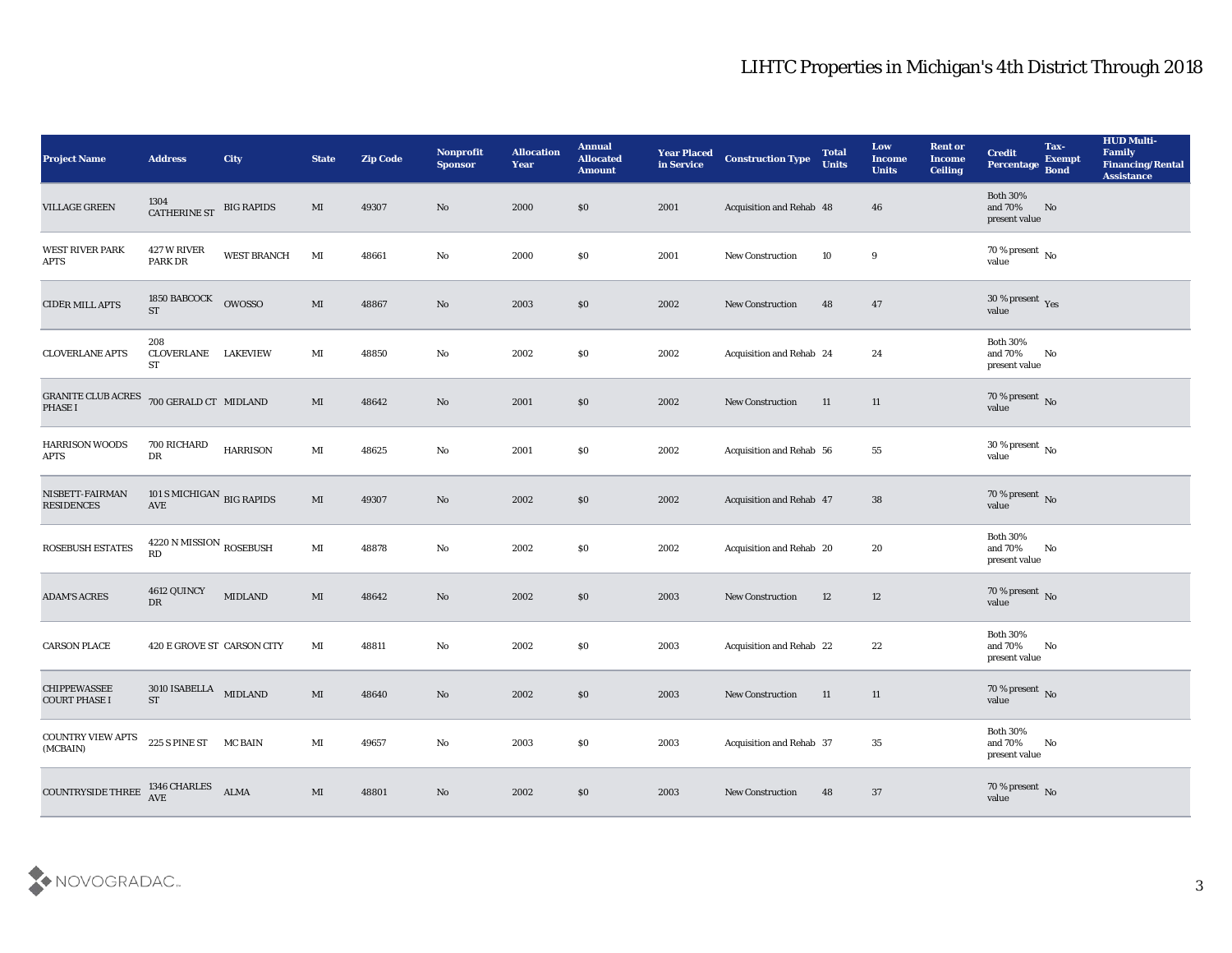| <b>Project Name</b>                                 | <b>Address</b>                            | <b>City</b>        | <b>State</b>           | <b>Zip Code</b> | Nonprofit<br><b>Sponsor</b> | <b>Allocation</b><br><b>Year</b> | <b>Annual</b><br><b>Allocated</b><br><b>Amount</b> | <b>Year Placed</b><br>in Service | <b>Construction Type</b> | <b>Total</b><br><b>Units</b> | Low<br>Income<br><b>Units</b> | <b>Rent or</b><br><b>Income</b><br><b>Ceiling</b> | <b>Credit</b><br>Percentage                 | Tax-<br><b>Exempt</b><br><b>Bond</b> | <b>HUD Multi-</b><br>Family<br><b>Financing/Rental</b><br><b>Assistance</b> |
|-----------------------------------------------------|-------------------------------------------|--------------------|------------------------|-----------------|-----------------------------|----------------------------------|----------------------------------------------------|----------------------------------|--------------------------|------------------------------|-------------------------------|---------------------------------------------------|---------------------------------------------|--------------------------------------|-----------------------------------------------------------------------------|
| <b>VILLAGE GREEN</b>                                | 1304<br>CATHERINE ST                      | <b>BIG RAPIDS</b>  | MI                     | 49307           | No                          | 2000                             | \$0                                                | 2001                             | Acquisition and Rehab 48 |                              | 46                            |                                                   | <b>Both 30%</b><br>and 70%<br>present value | No                                   |                                                                             |
| <b>WEST RIVER PARK</b><br>APTS                      | 427 W RIVER<br><b>PARK DR</b>             | <b>WEST BRANCH</b> | MI                     | 48661           | No                          | 2000                             | $\$0$                                              | 2001                             | <b>New Construction</b>  | 10                           | 9                             |                                                   | 70 % present No<br>value                    |                                      |                                                                             |
| <b>CIDER MILL APTS</b>                              | 1850 BABCOCK<br><b>ST</b>                 | <b>OWOSSO</b>      | $\mathbf{M}$           | 48867           | No                          | 2003                             | \$0                                                | 2002                             | New Construction         | 48                           | 47                            |                                                   | $30\,\%$ present $\,$ Yes value             |                                      |                                                                             |
| <b>CLOVERLANE APTS</b>                              | 208<br>CLOVERLANE LAKEVIEW<br>ST          |                    | MI                     | 48850           | No                          | 2002                             | \$0                                                | 2002                             | Acquisition and Rehab 24 |                              | 24                            |                                                   | <b>Both 30%</b><br>and 70%<br>present value | No                                   |                                                                             |
| <b>GRANITE CLUB ACRES</b><br>PHASE I                | 700 GERALD CT MIDLAND                     |                    | MI                     | 48642           | No                          | 2001                             | \$0                                                | 2002                             | <b>New Construction</b>  | 11                           | 11                            |                                                   | $70\,\%$ present $\,$ No value              |                                      |                                                                             |
| <b>HARRISON WOODS</b><br>APTS                       | 700 RICHARD<br>DR                         | <b>HARRISON</b>    | $\mathbf{M}$ I         | 48625           | No                          | 2001                             | \$0                                                | 2002                             | Acquisition and Rehab 56 |                              | 55                            |                                                   | $30\,\%$ present $\,$ No $\,$<br>value      |                                      |                                                                             |
| NISBETT-FAIRMAN<br><b>RESIDENCES</b>                | 101 S MICHIGAN BIG RAPIDS<br>AVE          |                    | MI                     | 49307           | No                          | 2002                             | \$0                                                | 2002                             | Acquisition and Rehab 47 |                              | 38                            |                                                   | $70\,\%$ present $\,$ No value              |                                      |                                                                             |
| ROSEBUSH ESTATES                                    | $4220$ N MISSION $_{\rm{ROSEBUSH}}$<br>RD |                    | $\mathbf{M}$ I         | 48878           | No                          | 2002                             | \$0                                                | 2002                             | Acquisition and Rehab 20 |                              | 20                            |                                                   | <b>Both 30%</b><br>and 70%<br>present value | No                                   |                                                                             |
| <b>ADAM'S ACRES</b>                                 | 4612 QUINCY<br>DR                         | <b>MIDLAND</b>     | MI                     | 48642           | No                          | 2002                             | \$0                                                | 2003                             | <b>New Construction</b>  | 12                           | 12                            |                                                   | $70\,\%$ present $\,$ No $\,$ value         |                                      |                                                                             |
| <b>CARSON PLACE</b>                                 | 420 E GROVE ST CARSON CITY                |                    | MI                     | 48811           | No                          | 2002                             | \$0                                                | 2003                             | Acquisition and Rehab 22 |                              | 22                            |                                                   | <b>Both 30%</b><br>and 70%<br>present value | No                                   |                                                                             |
| <b>CHIPPEWASSEE</b><br><b>COURT PHASE I</b>         | $3010$ ISABELLA MIDLAND<br><b>ST</b>      |                    | MI                     | 48640           | No                          | 2002                             | $\$0$                                              | 2003                             | <b>New Construction</b>  | 11                           | 11                            |                                                   | 70 % present No<br>value                    |                                      |                                                                             |
| COUNTRY VIEW APTS 225 S PINE ST MC BAIN<br>(MCBAIN) |                                           |                    | $\mathbf{M}\mathbf{I}$ | 49657           | $\rm\thinspace No$          | 2003                             | $\$0$                                              | 2003                             | Acquisition and Rehab 37 |                              | 35                            |                                                   | Both $30\%$<br>and $70\%$<br>present value  | No                                   |                                                                             |
| COUNTRYSIDE THREE $\frac{\text{1346} }{\text{AVE}}$ |                                           | <b>ALMA</b>        | $\mathbf{M}$           | 48801           | $\rm\thinspace No$          | 2002                             | $\$0$                                              | 2003                             | New Construction         | 48                           | 37                            |                                                   | $70\,\%$ present $\,$ No value              |                                      |                                                                             |

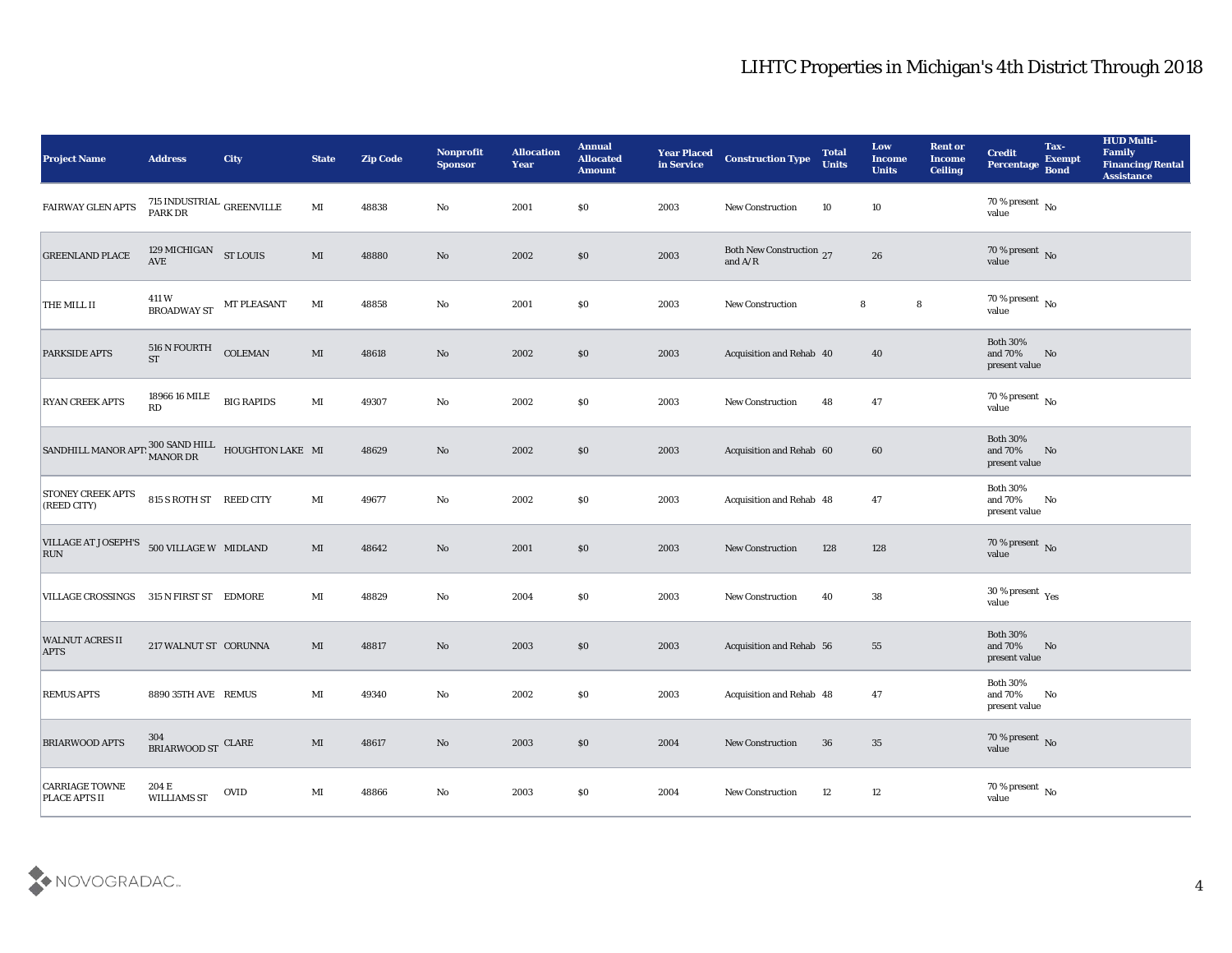| <b>Project Name</b>                                                                  | <b>Address</b>                      | <b>City</b>        | <b>State</b>           | <b>Zip Code</b> | <b>Nonprofit</b><br><b>Sponsor</b> | <b>Allocation</b><br><b>Year</b> | <b>Annual</b><br><b>Allocated</b><br><b>Amount</b> | <b>Year Placed</b><br>in Service | <b>Construction Type</b>              | <b>Total</b><br><b>Units</b> | Low<br><b>Income</b><br><b>Units</b> | <b>Rent or</b><br><b>Income</b><br><b>Ceiling</b> | <b>Credit</b><br>Percentage                      | Tax-<br><b>Exempt</b><br><b>Bond</b> | <b>HUD Multi-</b><br>Family<br><b>Financing/Rental</b><br><b>Assistance</b> |
|--------------------------------------------------------------------------------------|-------------------------------------|--------------------|------------------------|-----------------|------------------------------------|----------------------------------|----------------------------------------------------|----------------------------------|---------------------------------------|------------------------------|--------------------------------------|---------------------------------------------------|--------------------------------------------------|--------------------------------------|-----------------------------------------------------------------------------|
| FAIRWAY GLEN APTS                                                                    | 715 INDUSTRIAL<br>PARK DR           |                    | MI                     | 48838           | No                                 | 2001                             | $\$0$                                              | 2003                             | New Construction                      | 10                           | 10                                   |                                                   | $70\%$ present $\overline{N_0}$<br>value         |                                      |                                                                             |
| <b>GREENLAND PLACE</b>                                                               | 129 MICHIGAN ST LOUIS<br><b>AVE</b> |                    | MI                     | 48880           | No                                 | 2002                             | \$0                                                | 2003                             | Both New Construction 27<br>and $A/R$ |                              | 26                                   |                                                   | 70 % present No<br>value                         |                                      |                                                                             |
| <b>THE MILL II</b>                                                                   | 411 W<br><b>BROADWAY ST</b>         | <b>MT PLEASANT</b> | MI                     | 48858           | No                                 | 2001                             | $\$0$                                              | 2003                             | New Construction                      |                              | 8                                    | 8                                                 | 70 % present $\,$ No $\,$<br>value               |                                      |                                                                             |
| <b>PARKSIDE APTS</b>                                                                 | 516 N FOURTH<br><b>ST</b>           | <b>COLEMAN</b>     | MI                     | 48618           | No                                 | 2002                             | \$0                                                | 2003                             | Acquisition and Rehab 40              |                              | 40                                   |                                                   | <b>Both 30%</b><br>and 70%<br>present value      | No                                   |                                                                             |
| <b>RYAN CREEK APTS</b>                                                               | 18966 16 MILE<br>RD                 | <b>BIG RAPIDS</b>  | MI                     | 49307           | No                                 | 2002                             | $\$0$                                              | 2003                             | <b>New Construction</b>               | 48                           | 47                                   |                                                   | 70 % present $\overline{N_0}$<br>value           |                                      |                                                                             |
| SANDHILL MANOR APT: $\frac{300 \text{ SAND HILL}}{\text{MANOR DR}}$ HOUGHTON LAKE MI |                                     |                    |                        | 48629           | No                                 | 2002                             | \$0                                                | 2003                             | Acquisition and Rehab 60              |                              | 60                                   |                                                   | <b>Both 30%</b><br>and 70%<br>present value      | No                                   |                                                                             |
| <b>STONEY CREEK APTS</b><br>(REED CITY)                                              | 815 S ROTH ST REED CITY             |                    | MI                     | 49677           | No                                 | 2002                             | $\$0$                                              | 2003                             | Acquisition and Rehab 48              |                              | 47                                   |                                                   | <b>Both 30%</b><br>and 70%<br>present value      | No                                   |                                                                             |
| VILLAGE AT JOSEPH'S 500 VILLAGE W MIDLAND<br><b>RUN</b>                              |                                     |                    | MI                     | 48642           | No                                 | 2001                             | \$0                                                | 2003                             | <b>New Construction</b>               | 128                          | 128                                  |                                                   | 70 % present $\,$ No $\,$<br>value               |                                      |                                                                             |
| VILLAGE CROSSINGS                                                                    | 315 N FIRST ST EDMORE               |                    | MI                     | 48829           | No                                 | 2004                             | \$0\$                                              | 2003                             | <b>New Construction</b>               | 40                           | 38                                   |                                                   | 30 % present $\rm\,Yes$<br>value                 |                                      |                                                                             |
| <b>WALNUT ACRES II</b><br><b>APTS</b>                                                | 217 WALNUT ST CORUNNA               |                    | MI                     | 48817           | No                                 | 2003                             | \$0                                                | 2003                             | Acquisition and Rehab 56              |                              | 55                                   |                                                   | <b>Both 30%</b><br>and 70%<br>present value      | No                                   |                                                                             |
| <b>REMUS APTS</b>                                                                    | 8890 35TH AVE REMUS                 |                    | MI                     | 49340           | No                                 | 2002                             | $\$0$                                              | 2003                             | Acquisition and Rehab 48              |                              | 47                                   |                                                   | <b>Both 30%</b><br>and 70%<br>$\,$ present value | No                                   |                                                                             |
| <b>BRIARWOOD APTS</b>                                                                | $304$ BRIARWOOD ST $\,$ CLARE       |                    | $\mathbf{M}\mathbf{I}$ | 48617           | $\rm\thinspace No$                 | 2003                             | $\$0$                                              | 2004                             | New Construction                      | 36                           | $35\,$                               |                                                   | $70\,\%$ present $\,$ No value                   |                                      |                                                                             |
| <b>CARRIAGE TOWNE</b><br>PLACE APTS II                                               | $204\,\mathrm{E}$<br>WILLIAMS ST    | $\rm OVID$         | $\mathbf{M}\mathbf{I}$ | 48866           | $\mathbf {No}$                     | 2003                             | \$0                                                | 2004                             | New Construction                      | 12                           | $12\,$                               |                                                   | $70\,\%$ present $\,$ No value                   |                                      |                                                                             |

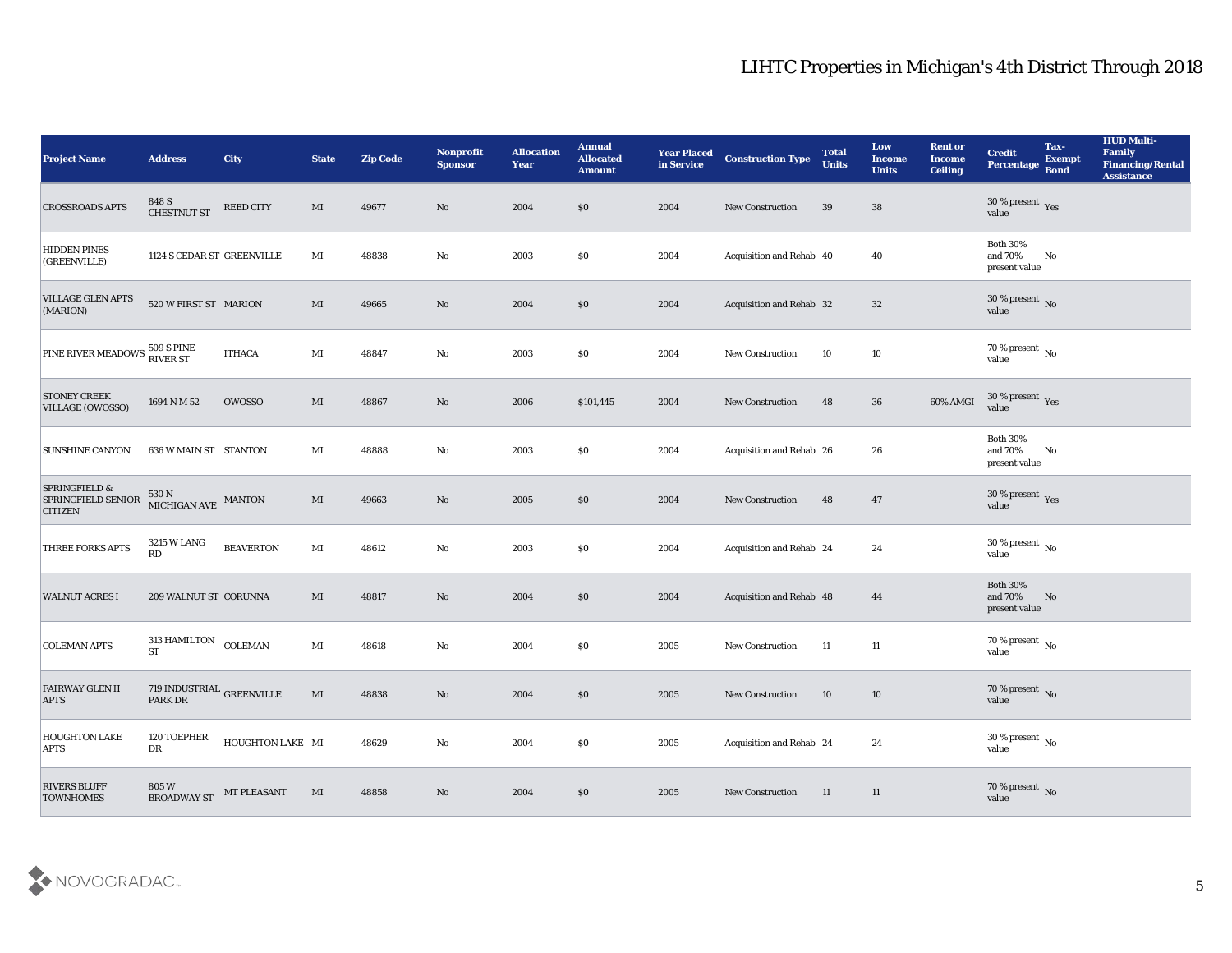| <b>Project Name</b>                                              | <b>Address</b>                                   | <b>City</b>        | <b>State</b>           | <b>Zip Code</b> | Nonprofit<br><b>Sponsor</b> | <b>Allocation</b><br><b>Year</b> | <b>Annual</b><br><b>Allocated</b><br><b>Amount</b> | <b>Year Placed</b><br>in Service | <b>Construction Type</b>        | <b>Total</b><br><b>Units</b> | Low<br>Income<br><b>Units</b> | <b>Rent or</b><br><b>Income</b><br><b>Ceiling</b> | <b>Credit</b><br>Percentage                 | Tax-<br><b>Exempt</b><br><b>Bond</b> | <b>HUD Multi-</b><br>Family<br><b>Financing/Rental</b><br><b>Assistance</b> |
|------------------------------------------------------------------|--------------------------------------------------|--------------------|------------------------|-----------------|-----------------------------|----------------------------------|----------------------------------------------------|----------------------------------|---------------------------------|------------------------------|-------------------------------|---------------------------------------------------|---------------------------------------------|--------------------------------------|-----------------------------------------------------------------------------|
| <b>CROSSROADS APTS</b>                                           | 848 S<br><b>CHESTNUT ST</b>                      | REED CITY          | MI                     | 49677           | No                          | 2004                             | \$0                                                | 2004                             | <b>New Construction</b>         | 39                           | 38                            |                                                   | 30 % present $\gamma_{\rm e s}$<br>value    |                                      |                                                                             |
| <b>HIDDEN PINES</b><br>(GREENVILLE)                              | 1124 S CEDAR ST GREENVILLE                       |                    | MI                     | 48838           | No                          | 2003                             | \$0                                                | 2004                             | Acquisition and Rehab 40        |                              | 40                            |                                                   | <b>Both 30%</b><br>and 70%<br>present value | No                                   |                                                                             |
| <b>VILLAGE GLEN APTS</b><br>(MARION)                             | 520 W FIRST ST MARION                            |                    | $\mathbf{M}\mathbf{I}$ | 49665           | $\mathbf{N}\mathbf{o}$      | 2004                             | \$0                                                | 2004                             | Acquisition and Rehab 32        |                              | 32                            |                                                   | $30\,\%$ present $\,$ No value              |                                      |                                                                             |
| PINE RIVER MEADOWS 509 S PINE                                    |                                                  | <b>ITHACA</b>      | $\mathbf{M}$           | 48847           | $\mathbf{N}\mathbf{o}$      | 2003                             | \$0                                                | 2004                             | New Construction                | 10                           | 10                            |                                                   | $70\,\% \,present \over value$              |                                      |                                                                             |
| <b>STONEY CREEK</b><br><b>VILLAGE (OWOSSO)</b>                   | 1694 N M 52                                      | <b>OWOSSO</b>      | $\mathbf{M}\mathbf{I}$ | 48867           | No                          | 2006                             | \$101,445                                          | 2004                             | <b>New Construction</b>         | 48                           | 36                            | 60% AMGI                                          | $30\,\%$ present $\,$ Yes value             |                                      |                                                                             |
| <b>SUNSHINE CANYON</b>                                           | <b>636 W MAIN ST STANTON</b>                     |                    | $\mathbf{M}\mathbf{I}$ | 48888           | $\rm\thinspace No$          | 2003                             | \$0                                                | 2004                             | Acquisition and Rehab 26        |                              | 26                            |                                                   | <b>Both 30%</b><br>and 70%<br>present value | No                                   |                                                                             |
| <b>SPRINGFIELD &amp;</b><br>SPRINGFIELD SENIOR<br><b>CITIZEN</b> | $530$ N $_{\rm MICHIGAN\;AVE}$ $_{\rm MANTON}$   |                    | MI                     | 49663           | No                          | 2005                             | \$0                                                | 2004                             | New Construction                | 48                           | 47                            |                                                   | $30\,\%$ present $\,$ Yes value             |                                      |                                                                             |
| <b>THREE FORKS APTS</b>                                          | 3215 W LANG<br>RD                                | <b>BEAVERTON</b>   | MI                     | 48612           | No                          | 2003                             | \$0                                                | 2004                             | <b>Acquisition and Rehab 24</b> |                              | 24                            |                                                   | $30\,\%$ present $\,$ No $\,$<br>value      |                                      |                                                                             |
| <b>WALNUT ACRES I</b>                                            | 209 WALNUT ST CORUNNA                            |                    | MI                     | 48817           | No                          | 2004                             | \$0                                                | 2004                             | Acquisition and Rehab 48        |                              | 44                            |                                                   | <b>Both 30%</b><br>and 70%<br>present value | No                                   |                                                                             |
| <b>COLEMAN APTS</b>                                              | 313 HAMILTON<br><b>ST</b>                        | <b>COLEMAN</b>     | $\mathbf{M}$           | 48618           | $\mathbf{No}$               | 2004                             | \$0                                                | 2005                             | <b>New Construction</b>         | 11                           | 11                            |                                                   | $70\,\% \,present \over value$              |                                      |                                                                             |
| <b>FAIRWAY GLEN II</b><br><b>APTS</b>                            | 719 INDUSTRIAL $_{\mbox{GREENVILLE}}$<br>PARK DR |                    | MI                     | 48838           | No                          | 2004                             | \$0                                                | 2005                             | <b>New Construction</b>         | 10                           | 10                            |                                                   | 70 % present No<br>value                    |                                      |                                                                             |
| <b>HOUGHTON LAKE</b><br><b>APTS</b>                              | 120 TOEPHER<br>${\rm DR}$                        | HOUGHTON LAKE MI   |                        | 48629           | $\rm\thinspace No$          | 2004                             | $\$0$                                              | 2005                             | Acquisition and Rehab 24        |                              | $\bf 24$                      |                                                   | 30 % present $\,$ No $\,$<br>value          |                                      |                                                                             |
| <b>RIVERS BLUFF</b><br><b>TOWNHOMES</b>                          | 805 W<br>BROADWAY ST                             | <b>MT PLEASANT</b> | MI                     | 48858           | $\rm\thinspace No$          | 2004                             | \$0                                                | 2005                             | New Construction                | 11                           | 11                            |                                                   | $70\,\%$ present $\,$ No value              |                                      |                                                                             |

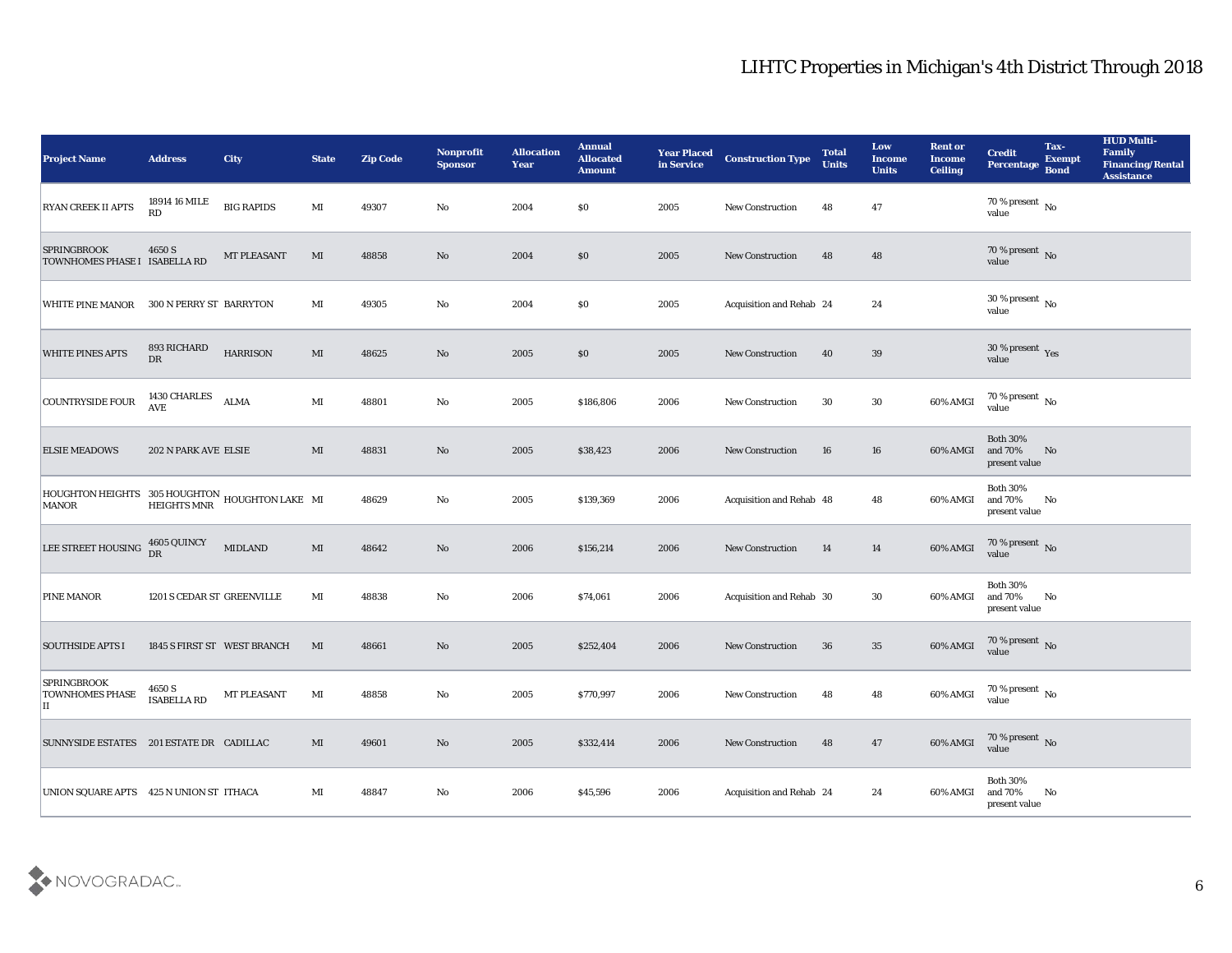| <b>Project Name</b>                                                                            | <b>Address</b>               | <b>City</b>                 | <b>State</b>           | <b>Zip Code</b> | Nonprofit<br><b>Sponsor</b> | <b>Allocation</b><br><b>Year</b> | <b>Annual</b><br><b>Allocated</b><br><b>Amount</b> | <b>Year Placed</b><br>in Service | <b>Construction Type</b> | <b>Total</b><br><b>Units</b> | Low<br>Income<br><b>Units</b> | <b>Rent or</b><br><b>Income</b><br><b>Ceiling</b> | <b>Credit</b><br><b>Percentage</b>          | Tax-<br><b>Exempt</b><br><b>Bond</b> | <b>HUD Multi-</b><br>Family<br><b>Financing/Rental</b><br><b>Assistance</b> |
|------------------------------------------------------------------------------------------------|------------------------------|-----------------------------|------------------------|-----------------|-----------------------------|----------------------------------|----------------------------------------------------|----------------------------------|--------------------------|------------------------------|-------------------------------|---------------------------------------------------|---------------------------------------------|--------------------------------------|-----------------------------------------------------------------------------|
| <b>RYAN CREEK II APTS</b>                                                                      | 18914 16 MILE<br>RD          | <b>BIG RAPIDS</b>           | $\mathbf{M}$ I         | 49307           | No                          | 2004                             | \$0                                                | 2005                             | <b>New Construction</b>  | 48                           | 47                            |                                                   | 70 % present No<br>value                    |                                      |                                                                             |
| <b>SPRINGBROOK</b><br>TOWNHOMES PHASE I ISABELLA RD                                            | 4650 S                       | <b>MT PLEASANT</b>          | MI                     | 48858           | No                          | 2004                             | \$0                                                | 2005                             | <b>New Construction</b>  | 48                           | 48                            |                                                   | 70 % present $\,$ No $\,$<br>value          |                                      |                                                                             |
| <b>WHITE PINE MANOR</b>                                                                        | 300 N PERRY ST BARRYTON      |                             | MI                     | 49305           | No                          | 2004                             | \$0                                                | 2005                             | Acquisition and Rehab 24 |                              | 24                            |                                                   | 30 % present $\,$ No $\,$<br>value          |                                      |                                                                             |
| <b>WHITE PINES APTS</b>                                                                        | 893 RICHARD<br>DR            | <b>HARRISON</b>             | MI                     | 48625           | No                          | 2005                             | \$0                                                | 2005                             | <b>New Construction</b>  | 40                           | 39                            |                                                   | $30\,\%$ present $\,$ Yes value             |                                      |                                                                             |
| <b>COUNTRYSIDE FOUR</b>                                                                        | 1430 CHARLES<br>AVE          | <b>ALMA</b>                 | $\mathbf{M}\mathbf{I}$ | 48801           | No                          | 2005                             | \$186,806                                          | 2006                             | <b>New Construction</b>  | 30                           | 30                            | 60% AMGI                                          | $70\,\%$ present $\,$ No value              |                                      |                                                                             |
| <b>ELSIE MEADOWS</b>                                                                           | 202 N PARK AVE ELSIE         |                             | MI                     | 48831           | No                          | 2005                             | \$38,423                                           | 2006                             | <b>New Construction</b>  | 16                           | 16                            | 60% AMGI                                          | <b>Both 30%</b><br>and 70%<br>present value | No                                   |                                                                             |
| $\,$ HOUGHTON HEIGHTS $\,$ 305 HOUGHTON HOUGHTON LAKE $\,$ MI $\,$ MINOR $\,$ HEIGHTS MNR $\,$ |                              |                             |                        | 48629           | No                          | 2005                             | \$139,369                                          | 2006                             | Acquisition and Rehab 48 |                              | 48                            | 60% AMGI                                          | <b>Both 30%</b><br>and 70%<br>present value | No                                   |                                                                             |
| LEE STREET HOUSING                                                                             | 4605 QUINCY<br>DR            | <b>MIDLAND</b>              | $\mathbf{M}$           | 48642           | No                          | 2006                             | \$156,214                                          | 2006                             | <b>New Construction</b>  | 14                           | 14                            | 60% AMGI                                          | 70 % present No<br>value                    |                                      |                                                                             |
| PINE MANOR                                                                                     | 1201 S CEDAR ST GREENVILLE   |                             | MI                     | 48838           | No                          | 2006                             | \$74,061                                           | 2006                             | Acquisition and Rehab 30 |                              | 30                            | 60% AMGI                                          | <b>Both 30%</b><br>and 70%<br>present value | No                                   |                                                                             |
| <b>SOUTHSIDE APTS I</b>                                                                        |                              | 1845 S FIRST ST WEST BRANCH | MI                     | 48661           | No                          | 2005                             | \$252,404                                          | 2006                             | <b>New Construction</b>  | 36                           | 35                            | 60% AMGI                                          | $70\,\%$ present $\,$ No value              |                                      |                                                                             |
| <b>SPRINGBROOK</b><br><b>TOWNHOMES PHASE</b><br>Ħ                                              | 4650 S<br><b>ISABELLA RD</b> | <b>MT PLEASANT</b>          | MI                     | 48858           | No                          | 2005                             | \$770,997                                          | 2006                             | <b>New Construction</b>  | 48                           | 48                            | 60% AMGI                                          | 70 % present $\,$ No $\,$<br>value          |                                      |                                                                             |
| SUNNYSIDE ESTATES 201 ESTATE DR CADILLAC                                                       |                              |                             | $\mathbf{M}\mathbf{I}$ | 49601           | $\rm\thinspace No$          | 2005                             | \$332,414                                          | 2006                             | New Construction         | 48                           | 47                            | 60% AMGI                                          | $70\,\%$ present $\,$ No value              |                                      |                                                                             |
| UNION SQUARE APTS 425 N UNION ST ITHACA                                                        |                              |                             | $\mathbf{M}$           | 48847           | $\rm\thinspace No$          | 2006                             | \$45,596                                           | 2006                             | Acquisition and Rehab 24 |                              | 24                            | 60% AMGI                                          | Both $30\%$<br>and 70%<br>present value     | $\mathbf{N}\mathbf{o}$               |                                                                             |

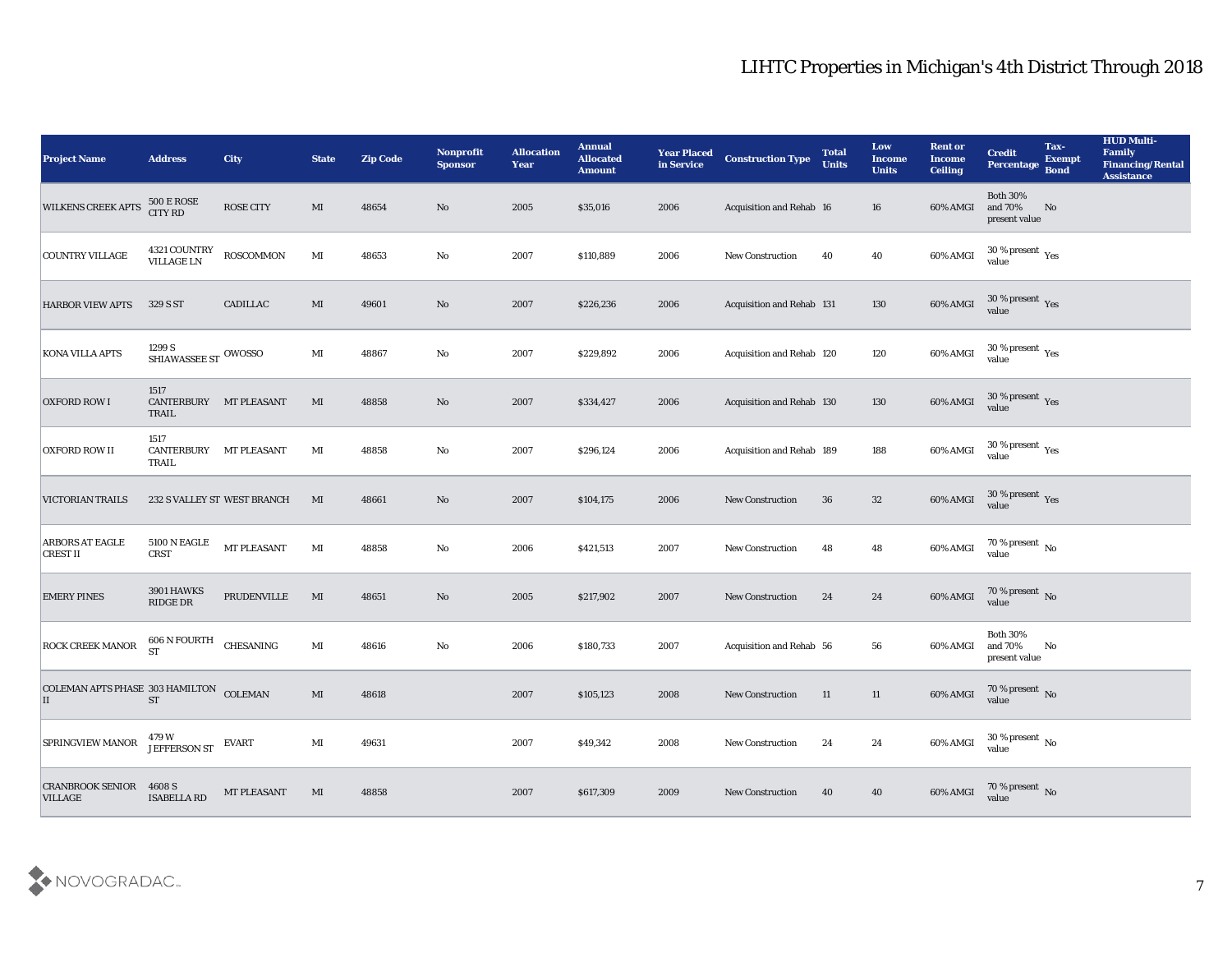| <b>Project Name</b>                              | <b>Address</b>                              | <b>City</b>                 | <b>State</b>           | <b>Zip Code</b> | Nonprofit<br><b>Sponsor</b> | <b>Allocation</b><br><b>Year</b> | <b>Annual</b><br><b>Allocated</b><br><b>Amount</b> | <b>Year Placed</b><br>in Service | <b>Construction Type</b>  | <b>Total</b><br><b>Units</b> | Low<br><b>Income</b><br><b>Units</b> | <b>Rent or</b><br><b>Income</b><br><b>Ceiling</b> | <b>Credit</b><br><b>Percentage</b>          | Tax-<br><b>Exempt</b><br><b>Bond</b> | <b>HUD Multi-</b><br>Family<br><b>Financing/Rental</b><br><b>Assistance</b> |
|--------------------------------------------------|---------------------------------------------|-----------------------------|------------------------|-----------------|-----------------------------|----------------------------------|----------------------------------------------------|----------------------------------|---------------------------|------------------------------|--------------------------------------|---------------------------------------------------|---------------------------------------------|--------------------------------------|-----------------------------------------------------------------------------|
| <b>WILKENS CREEK APTS</b>                        | <b>500 E ROSE</b><br>CITY RD                | <b>ROSE CITY</b>            | MI                     | 48654           | No                          | 2005                             | \$35,016                                           | 2006                             | Acquisition and Rehab 16  |                              | 16                                   | 60% AMGI                                          | <b>Both 30%</b><br>and 70%<br>present value | No                                   |                                                                             |
| <b>COUNTRY VILLAGE</b>                           | 4321 COUNTRY<br>VILLAGE LN                  | <b>ROSCOMMON</b>            | $\mathbf{M}$           | 48653           | No                          | 2007                             | \$110,889                                          | 2006                             | <b>New Construction</b>   | 40                           | 40                                   | 60% AMGI                                          | $30\,\%$ present $\,\mathrm{Yes}$ value     |                                      |                                                                             |
| <b>HARBOR VIEW APTS</b>                          | 329 S ST                                    | <b>CADILLAC</b>             | MI                     | 49601           | No                          | 2007                             | \$226,236                                          | 2006                             | Acquisition and Rehab 131 |                              | 130                                  | 60% AMGI                                          | $30\,\%$ present $\,$ Yes value             |                                      |                                                                             |
| <b>KONA VILLA APTS</b>                           | 1299 S $$\,$ SHIAWASSEE ST $\,$ OWOSSO $\,$ |                             | $\mathbf{M}$ I         | 48867           | No                          | 2007                             | \$229,892                                          | 2006                             | Acquisition and Rehab 120 |                              | 120                                  | 60% AMGI                                          | $30\,\%$ present $\,$ Yes value             |                                      |                                                                             |
| <b>OXFORD ROW I</b>                              | 1517<br>CANTERBURY MT PLEASANT<br>TRAIL     |                             | MI                     | 48858           | No                          | 2007                             | \$334,427                                          | 2006                             | Acquisition and Rehab 130 |                              | 130                                  | 60% AMGI                                          | $30\,\%$ present $\,$ Yes value             |                                      |                                                                             |
| <b>OXFORD ROW II</b>                             | 1517<br>CANTERBURY MT PLEASANT<br>TRAIL     |                             | $\mathbf{M}$           | 48858           | No                          | 2007                             | \$296,124                                          | 2006                             | Acquisition and Rehab 189 |                              | 188                                  | 60% AMGI                                          | $30\,\%$ present $\,$ Yes value             |                                      |                                                                             |
| VICTORIAN TRAILS                                 |                                             | 232 S VALLEY ST WEST BRANCH | MI                     | 48661           | No                          | 2007                             | \$104,175                                          | 2006                             | <b>New Construction</b>   | 36                           | 32                                   | 60% AMGI                                          | $30\,\%$ present $\,\mathrm{Yes}$ value     |                                      |                                                                             |
| <b>ARBORS AT EAGLE</b><br>CREST II               | <b>5100 N EAGLE</b><br><b>CRST</b>          | MT PLEASANT                 | MI                     | 48858           | No                          | 2006                             | \$421,513                                          | 2007                             | New Construction          | 48                           | 48                                   | 60% AMGI                                          | 70 % present $\,$ No $\,$<br>value          |                                      |                                                                             |
| <b>EMERY PINES</b>                               | <b>3901 HAWKS</b><br>RIDGE DR               | PRUDENVILLE                 | MI                     | 48651           | No                          | 2005                             | \$217,902                                          | 2007                             | <b>New Construction</b>   | 24                           | 24                                   | 60% AMGI                                          | $70\,\%$ present $\,$ No value              |                                      |                                                                             |
| <b>ROCK CREEK MANOR</b>                          | 606 N FOURTH<br><b>ST</b>                   | CHESANING                   | $\mathbf{M}$ I         | 48616           | No                          | 2006                             | \$180,733                                          | 2007                             | Acquisition and Rehab 56  |                              | 56                                   | 60% AMGI                                          | <b>Both 30%</b><br>and 70%<br>present value | No                                   |                                                                             |
| COLEMAN APTS PHASE 303 HAMILTON COLEMAN<br>П     | <b>ST</b>                                   |                             | MI                     | 48618           |                             | 2007                             | \$105,123                                          | 2008                             | <b>New Construction</b>   | 11                           | 11                                   | 60% AMGI                                          | 70 % present No<br>value                    |                                      |                                                                             |
| SPRINGVIEW MANOR                                 | 479 W<br>JEFFERSON ST                       | <b>EVART</b>                | $\mathbf{M}$ I         | 49631           |                             | 2007                             | \$49,342                                           | 2008                             | New Construction          | 24                           | 24                                   | 60% AMGI                                          | $30\,\%$ present $\,$ No value              |                                      |                                                                             |
| <b>CRANBROOK SENIOR 4608 S</b><br><b>VILLAGE</b> | <b>ISABELLA RD</b>                          | MT PLEASANT                 | $\mathbf{M}\mathbf{I}$ | 48858           |                             | 2007                             | \$617,309                                          | 2009                             | New Construction          | 40                           | 40                                   | 60% AMGI                                          | $70\,\%$ present $\,$ No value              |                                      |                                                                             |

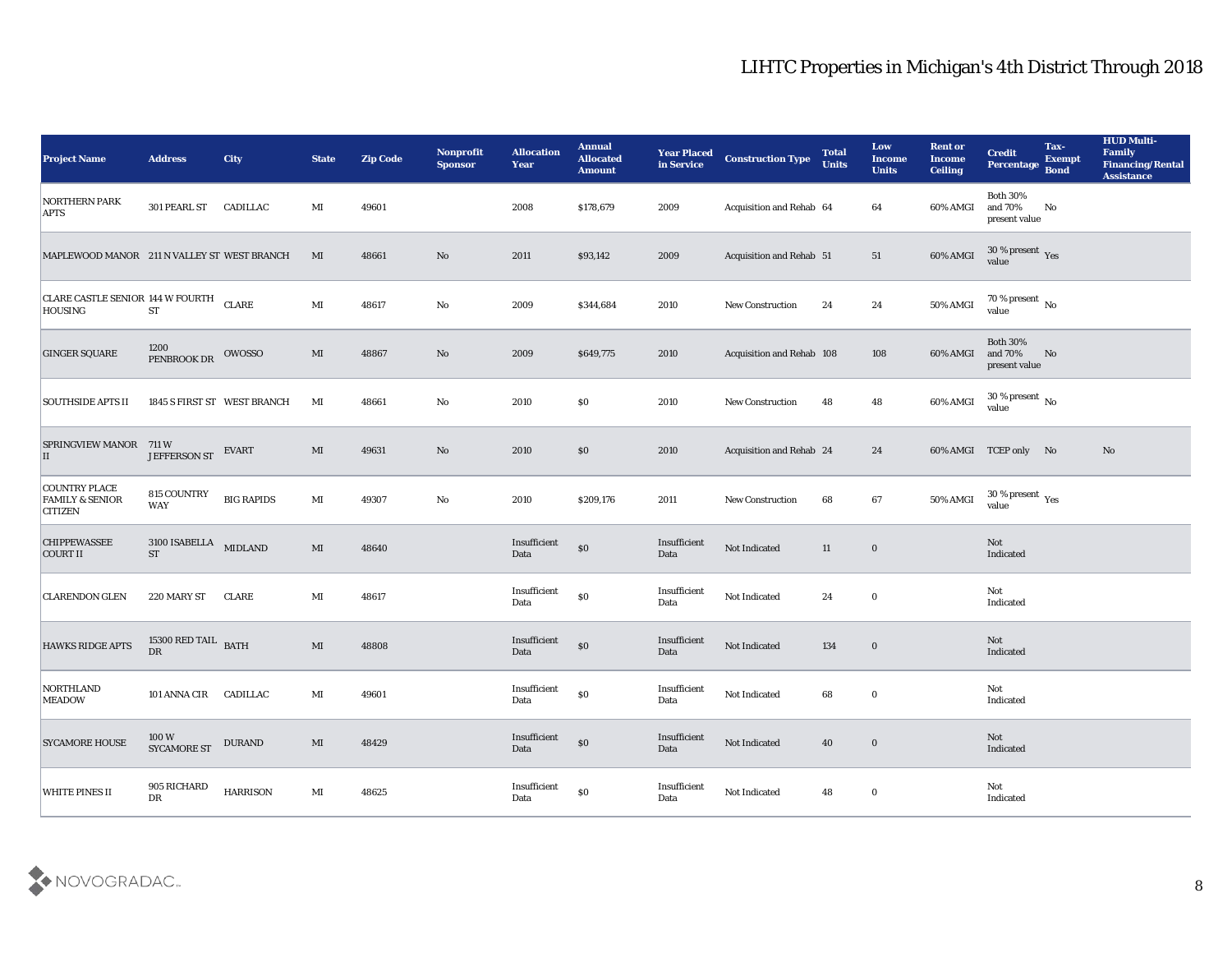| <b>Project Name</b>                                                  | <b>Address</b>                            | City                        | <b>State</b>           | <b>Zip Code</b> | Nonprofit<br><b>Sponsor</b> | <b>Allocation</b><br><b>Year</b> | <b>Annual</b><br><b>Allocated</b><br><b>Amount</b> | <b>Year Placed</b><br>in Service            | <b>Construction Type</b>  | <b>Total</b><br><b>Units</b> | Low<br><b>Income</b><br><b>Units</b> | <b>Rent or</b><br><b>Income</b><br><b>Ceiling</b> | <b>Credit</b><br>Percentage                 | Tax-<br><b>Exempt</b><br><b>Bond</b> | <b>HUD Multi-</b><br>Family<br><b>Financing/Rental</b><br><b>Assistance</b> |
|----------------------------------------------------------------------|-------------------------------------------|-----------------------------|------------------------|-----------------|-----------------------------|----------------------------------|----------------------------------------------------|---------------------------------------------|---------------------------|------------------------------|--------------------------------------|---------------------------------------------------|---------------------------------------------|--------------------------------------|-----------------------------------------------------------------------------|
| <b>NORTHERN PARK</b><br><b>APTS</b>                                  | 301 PEARL ST CADILLAC                     |                             | MI                     | 49601           |                             | 2008                             | \$178,679                                          | 2009                                        | Acquisition and Rehab 64  |                              | 64                                   | 60% AMGI                                          | <b>Both 30%</b><br>and 70%<br>present value | No                                   |                                                                             |
| MAPLEWOOD MANOR 211 N VALLEY ST WEST BRANCH                          |                                           |                             | MI                     | 48661           | No                          | 2011                             | \$93,142                                           | 2009                                        | Acquisition and Rehab 51  |                              | 51                                   | 60% AMGI                                          | $30\,\%$ present $\,\mathrm{Yes}$ value     |                                      |                                                                             |
| CLARE CASTLE SENIOR 144 W FOURTH<br><b>HOUSING</b>                   | <b>ST</b>                                 | <b>CLARE</b>                | $\mathbf{M}\mathbf{I}$ | 48617           | No                          | 2009                             | \$344,684                                          | 2010                                        | New Construction          | 24                           | 24                                   | <b>50% AMGI</b>                                   | $70\%$ present No<br>value                  |                                      |                                                                             |
| <b>GINGER SQUARE</b>                                                 | 1200<br>PENBROOK DR                       | OWOSSO                      | MI                     | 48867           | $\mathbf{N}\mathbf{o}$      | 2009                             | \$649,775                                          | 2010                                        | Acquisition and Rehab 108 |                              | 108                                  | 60% AMGI                                          | <b>Both 30%</b><br>and 70%<br>present value | No                                   |                                                                             |
| <b>SOUTHSIDE APTS II</b>                                             |                                           | 1845 S FIRST ST WEST BRANCH | MI                     | 48661           | No                          | 2010                             | $\$0$                                              | 2010                                        | <b>New Construction</b>   | 48                           | 48                                   | 60% AMGI                                          | $30\,\%$ present $\,$ No value              |                                      |                                                                             |
| <b>SPRINGVIEW MANOR</b><br>П                                         | 711 W<br><b>JEFFERSON ST</b>              | <b>EVART</b>                | MI                     | 49631           | No                          | 2010                             | \$0                                                | 2010                                        | Acquisition and Rehab 24  |                              | 24                                   |                                                   | 60% AMGI TCEP only No                       |                                      | No                                                                          |
| <b>COUNTRY PLACE</b><br><b>FAMILY &amp; SENIOR</b><br><b>CITIZEN</b> | 815 COUNTRY<br><b>WAY</b>                 | <b>BIG RAPIDS</b>           | $\mathbf{M}$ I         | 49307           | No                          | 2010                             | \$209,176                                          | 2011                                        | <b>New Construction</b>   | 68                           | 67                                   | 50% AMGI                                          | $30\,\%$ present $\,$ Yes value             |                                      |                                                                             |
| <b>CHIPPEWASSEE</b><br>COURT II                                      | 3100 ISABELLA<br><b>ST</b>                | <b>MIDLAND</b>              | MI                     | 48640           |                             | Insufficient<br>Data             | $\$0$                                              | Insufficient<br>Data                        | Not Indicated             | 11                           | $\bf{0}$                             |                                                   | Not<br>Indicated                            |                                      |                                                                             |
| <b>CLARENDON GLEN</b>                                                | 220 MARY ST                               | <b>CLARE</b>                | MI                     | 48617           |                             | Insufficient<br>Data             | \$0                                                | Insufficient<br>Data                        | Not Indicated             | 24                           | $\bf{0}$                             |                                                   | Not<br>Indicated                            |                                      |                                                                             |
| <b>HAWKS RIDGE APTS</b>                                              | 15300 RED TAIL $_{\rm BATH}$<br><b>DR</b> |                             | MI                     | 48808           |                             | Insufficient<br>Data             | $\$0$                                              | Insufficient<br>Data                        | Not Indicated             | 134                          | $\bf{0}$                             |                                                   | Not<br>Indicated                            |                                      |                                                                             |
| NORTHLAND<br><b>MEADOW</b>                                           | 101 ANNA CIR CADILLAC                     |                             | MI                     | 49601           |                             | Insufficient<br>Data             | $\$0$                                              | Insufficient<br>Data                        | Not Indicated             | 68                           | $\bf{0}$                             |                                                   | Not<br>Indicated                            |                                      |                                                                             |
| <b>SYCAMORE HOUSE</b>                                                | $100\,\mathrm{W}$ SYCAMORE ST             | <b>DURAND</b>               | $\mathbf{M}$           | 48429           |                             | Insufficient<br>$\mathbf{Data}$  | $\$0$                                              | $\label{lem:optimal} In sufficient$<br>Data | Not Indicated             | 40                           | $\bf{0}$                             |                                                   | Not<br>Indicated                            |                                      |                                                                             |
| WHITE PINES II                                                       | 905 RICHARD<br>${\rm D}{\rm R}$           | <b>HARRISON</b>             | $\mathbf{M}\mathbf{I}$ | 48625           |                             | Insufficient<br>Data             | $\$0$                                              | Insufficient<br>Data                        | Not Indicated             | 48                           | $\bf{0}$                             |                                                   | Not<br>Indicated                            |                                      |                                                                             |

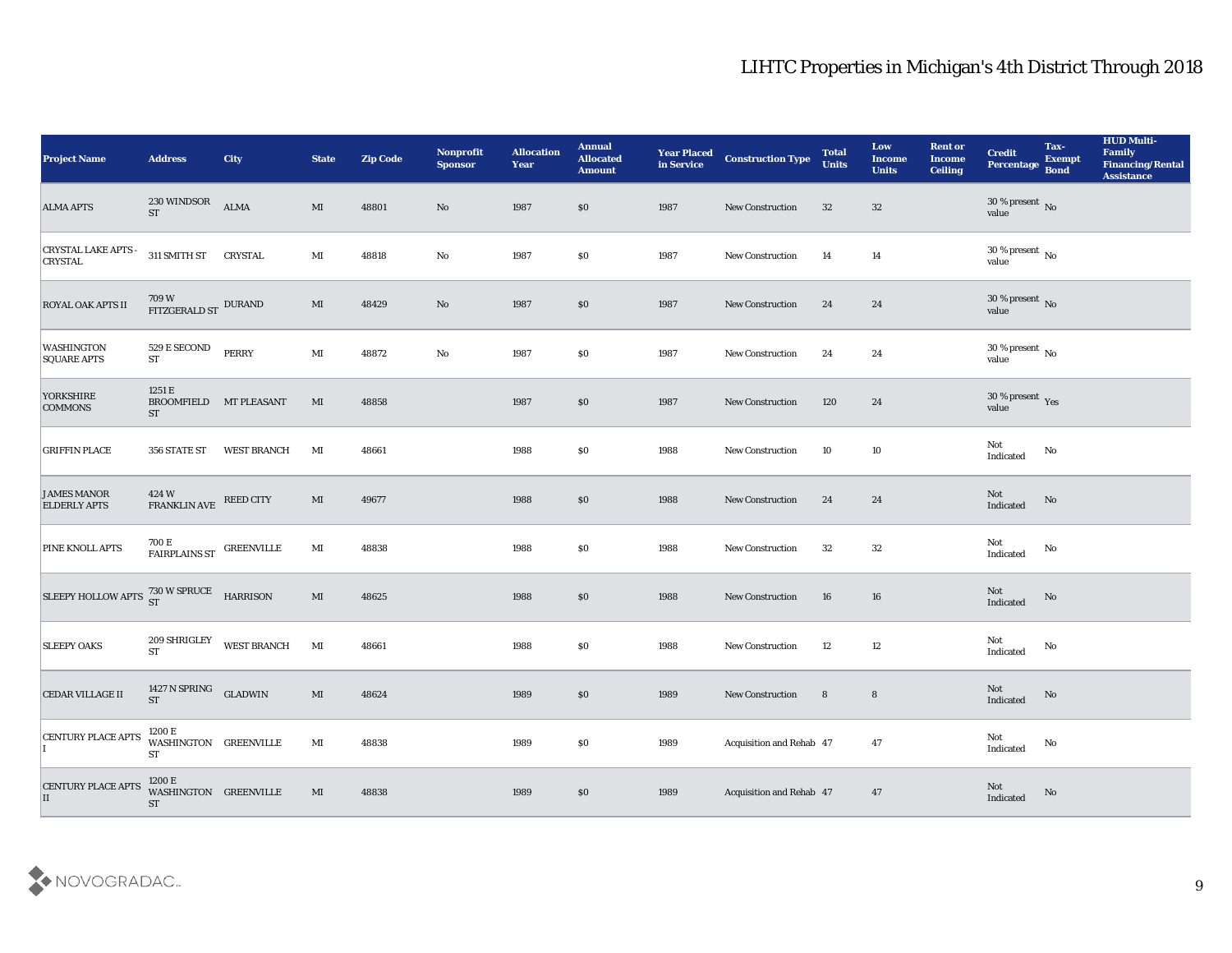| <b>Project Name</b>                                | <b>Address</b>                                                                                                                                                                      | <b>City</b>        | <b>State</b>           | <b>Zip Code</b> | Nonprofit<br><b>Sponsor</b> | <b>Allocation</b><br><b>Year</b> | <b>Annual</b><br><b>Allocated</b><br><b>Amount</b> | <b>Year Placed</b><br>in Service | <b>Construction Type</b> | <b>Total</b><br><b>Units</b> | Low<br><b>Income</b><br><b>Units</b> | <b>Rent or</b><br><b>Income</b><br><b>Ceiling</b> | <b>Credit</b><br>Percentage     | Tax-<br><b>Exempt</b><br><b>Bond</b> | <b>HUD Multi-</b><br>Family<br><b>Financing/Rental</b><br><b>Assistance</b> |
|----------------------------------------------------|-------------------------------------------------------------------------------------------------------------------------------------------------------------------------------------|--------------------|------------------------|-----------------|-----------------------------|----------------------------------|----------------------------------------------------|----------------------------------|--------------------------|------------------------------|--------------------------------------|---------------------------------------------------|---------------------------------|--------------------------------------|-----------------------------------------------------------------------------|
| <b>ALMA APTS</b>                                   | 230 WINDSOR<br>ST                                                                                                                                                                   | ALMA               | MI                     | 48801           | No                          | 1987                             | \$0                                                | 1987                             | <b>New Construction</b>  | 32                           | 32                                   |                                                   | $30\,\%$ present $\,$ No value  |                                      |                                                                             |
| <b>CRYSTAL LAKE APTS -</b><br><b>CRYSTAL</b>       | 311 SMITH ST CRYSTAL                                                                                                                                                                |                    | MI                     | 48818           | No                          | 1987                             | \$0                                                | 1987                             | <b>New Construction</b>  | 14                           | 14                                   |                                                   | $30\,\%$ present $\,$ No value  |                                      |                                                                             |
| <b>ROYAL OAK APTS II</b>                           | $709\,\mathrm{W}$ $$\rm FITZGERALD\,ST$$ DURAND                                                                                                                                     |                    | $\mathbf{M}\mathbf{I}$ | 48429           | $\mathbf{N}\mathbf{o}$      | 1987                             | \$0                                                | 1987                             | New Construction         | 24                           | 24                                   |                                                   | $30\,\%$ present $\,$ No value  |                                      |                                                                             |
| <b>WASHINGTON</b><br><b>SQUARE APTS</b>            | 529 E SECOND<br>ST                                                                                                                                                                  | <b>PERRY</b>       | $\mathbf{M}\mathbf{I}$ | 48872           | $\mathbf{N}\mathbf{o}$      | 1987                             | \$0                                                | 1987                             | New Construction         | 24                           | 24                                   |                                                   | $30\,\%$ present $\,$ No value  |                                      |                                                                             |
| YORKSHIRE<br><b>COMMONS</b>                        | 1251 E<br>BROOMFIELD MT PLEASANT<br><b>ST</b>                                                                                                                                       |                    | MI                     | 48858           |                             | 1987                             | \$0                                                | 1987                             | <b>New Construction</b>  | 120                          | 24                                   |                                                   | $30\,\%$ present $\,$ Yes value |                                      |                                                                             |
| <b>GRIFFIN PLACE</b>                               | 356 STATE ST                                                                                                                                                                        | <b>WEST BRANCH</b> | MI                     | 48661           |                             | 1988                             | \$0                                                | 1988                             | <b>New Construction</b>  | 10                           | 10                                   |                                                   | Not<br>Indicated                | No                                   |                                                                             |
| <b>JAMES MANOR</b><br><b>ELDERLY APTS</b>          | $424\,\mathrm{W}$ $$\mathrm{F}\mathrm{R}\mathrm{AN}\mathrm{K}\mathrm{L}\mathrm{IN}}$ $$\mathrm{N}\mathrm{E}\mathrm{E}\mathrm{E}\mathrm{D}\mathrm{C}\mathrm{I}\mathrm{T}\mathrm{Y}}$ |                    | $\mathbf{M}$           | 49677           |                             | 1988                             | \$0                                                | 1988                             | New Construction         | 24                           | 24                                   |                                                   | $\rm Not$ Indicated             | No                                   |                                                                             |
| <b>PINE KNOLL APTS</b>                             | $700\,\mathrm{E}$ FAIRPLAINS ST $\,$ GREENVILLE                                                                                                                                     |                    | MI                     | 48838           |                             | 1988                             | \$0                                                | 1988                             | <b>New Construction</b>  | 32                           | 32                                   |                                                   | Not<br>Indicated                | No                                   |                                                                             |
| SLEEPY HOLLOW APTS $^{730}_{ST}$ W SPRUCE HARRISON |                                                                                                                                                                                     |                    | MI                     | 48625           |                             | 1988                             | \$0                                                | 1988                             | <b>New Construction</b>  | 16                           | 16                                   |                                                   | Not<br>Indicated                | No                                   |                                                                             |
| <b>SLEEPY OAKS</b>                                 | 209 SHRIGLEY<br><b>ST</b>                                                                                                                                                           | WEST BRANCH        | $\mathbf{M}\mathbf{I}$ | 48661           |                             | 1988                             | \$0                                                | 1988                             | New Construction         | 12                           | 12                                   |                                                   | Not<br>Indicated                | No                                   |                                                                             |
| <b>CEDAR VILLAGE II</b>                            | 1427 N SPRING GLADWIN<br>ST                                                                                                                                                         |                    | MI                     | 48624           |                             | 1989                             | \$0                                                | 1989                             | <b>New Construction</b>  | 8                            | $8\phantom{1}$                       |                                                   | Not<br>Indicated                | No                                   |                                                                             |
| <b>CENTURY PLACE APTS</b>                          | 1200 E<br>WASHINGTON GREENVILLE<br>${\rm ST}$                                                                                                                                       |                    | $\mathbf{M}\mathbf{I}$ | 48838           |                             | 1989                             | \$0                                                | 1989                             | Acquisition and Rehab 47 |                              | 47                                   |                                                   | Not<br>Indicated                | $\rm\thinspace No$                   |                                                                             |
| <b>CENTURY PLACE APTS</b><br>II                    | 1200 E<br>WASHINGTON GREENVILLE<br><b>ST</b>                                                                                                                                        |                    | MI                     | 48838           |                             | 1989                             | \$0                                                | 1989                             | Acquisition and Rehab 47 |                              | 47                                   |                                                   | Not<br>Indicated                | No                                   |                                                                             |

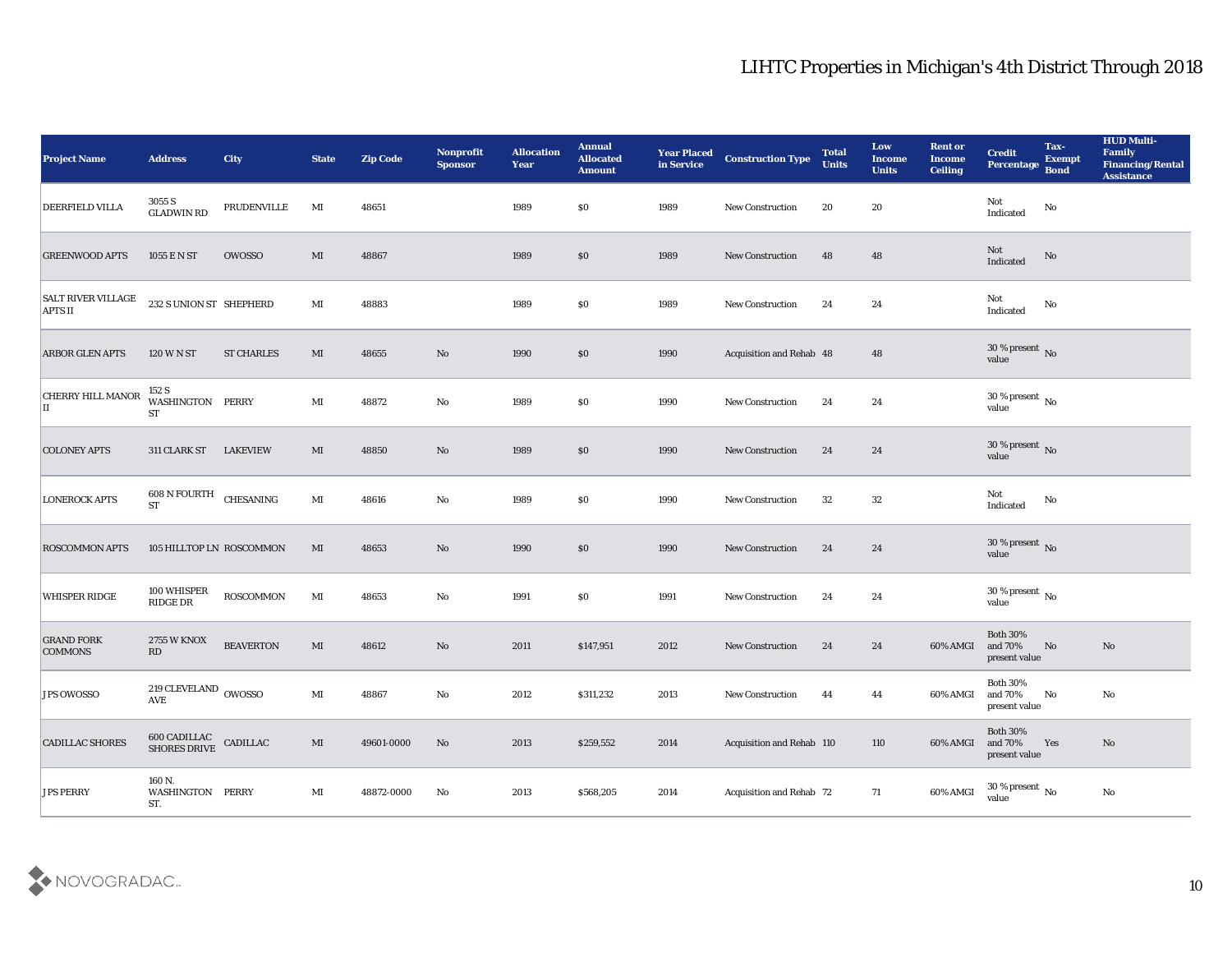| <b>Project Name</b>                         | <b>Address</b>                                       | <b>City</b>       | <b>State</b>           | <b>Zip Code</b> | Nonprofit<br><b>Sponsor</b> | <b>Allocation</b><br><b>Year</b> | <b>Annual</b><br><b>Allocated</b><br><b>Amount</b> | <b>Year Placed</b><br>in Service | <b>Construction Type</b>  | <b>Total</b><br><b>Units</b> | Low<br><b>Income</b><br><b>Units</b> | <b>Rent or</b><br><b>Income</b><br><b>Ceiling</b> | <b>Credit</b><br>Percentage                 | Tax-<br><b>Exempt</b><br><b>Bond</b> | <b>HUD Multi-</b><br>Family<br><b>Financing/Rental</b><br><b>Assistance</b> |
|---------------------------------------------|------------------------------------------------------|-------------------|------------------------|-----------------|-----------------------------|----------------------------------|----------------------------------------------------|----------------------------------|---------------------------|------------------------------|--------------------------------------|---------------------------------------------------|---------------------------------------------|--------------------------------------|-----------------------------------------------------------------------------|
| DEERFIELD VILLA                             | 3055 S<br><b>GLADWIN RD</b>                          | PRUDENVILLE       | MI                     | 48651           |                             | 1989                             | $\$0$                                              | 1989                             | New Construction          | 20                           | 20                                   |                                                   | Not<br>Indicated                            | $\mathbf{N}\mathbf{o}$               |                                                                             |
| <b>GREENWOOD APTS</b>                       | 1055 E N ST                                          | <b>OWOSSO</b>     | MI                     | 48867           |                             | 1989                             | \$0                                                | 1989                             | <b>New Construction</b>   | 48                           | 48                                   |                                                   | Not<br>Indicated                            | No                                   |                                                                             |
| <b>SALT RIVER VILLAGE</b><br><b>APTS II</b> | 232 S UNION ST SHEPHERD                              |                   | MI                     | 48883           |                             | 1989                             | \$0                                                | 1989                             | <b>New Construction</b>   | 24                           | 24                                   |                                                   | Not<br>Indicated                            | No                                   |                                                                             |
| <b>ARBOR GLEN APTS</b>                      | <b>120 W N ST</b>                                    | <b>ST CHARLES</b> | MI                     | 48655           | No                          | 1990                             | \$0                                                | 1990                             | Acquisition and Rehab 48  |                              | 48                                   |                                                   | $30\,\%$ present $\,$ No value              |                                      |                                                                             |
| <b>CHERRY HILL MANOR</b><br>II              | 152 S<br>WASHINGTON PERRY<br><b>ST</b>               |                   | $\mathbf{M}\mathbf{I}$ | 48872           | No                          | 1989                             | \$0                                                | 1990                             | <b>New Construction</b>   | 24                           | 24                                   |                                                   | $30\,\%$ present $\,$ No value              |                                      |                                                                             |
| <b>COLONEY APTS</b>                         | 311 CLARK ST                                         | <b>LAKEVIEW</b>   | MI                     | 48850           | No                          | 1989                             | \$0                                                | 1990                             | New Construction          | 24                           | 24                                   |                                                   | $30\,\%$ present $\,$ No value              |                                      |                                                                             |
| <b>LONEROCK APTS</b>                        | 608 N FOURTH CHESANING<br><b>ST</b>                  |                   | MI                     | 48616           | No                          | 1989                             | \$0                                                | 1990                             | <b>New Construction</b>   | 32                           | 32                                   |                                                   | Not<br>Indicated                            | No                                   |                                                                             |
| <b>ROSCOMMON APTS</b>                       | 105 HILLTOP LN ROSCOMMON                             |                   | MI                     | 48653           | No                          | 1990                             | \$0                                                | 1990                             | <b>New Construction</b>   | 24                           | 24                                   |                                                   | $30\,\%$ present $\,$ No value              |                                      |                                                                             |
| <b>WHISPER RIDGE</b>                        | 100 WHISPER<br>RIDGE DR                              | <b>ROSCOMMON</b>  | MI                     | 48653           | No                          | 1991                             | \$0                                                | 1991                             | <b>New Construction</b>   | 24                           | 24                                   |                                                   | $30\,\%$ present $\,$ No value              |                                      |                                                                             |
| <b>GRAND FORK</b><br><b>COMMONS</b>         | <b>2755 W KNOX</b><br>$\mathbf{R}\mathbf{D}$         | <b>BEAVERTON</b>  | MI                     | 48612           | $\mathbf{N}\mathbf{o}$      | 2011                             | \$147,951                                          | 2012                             | <b>New Construction</b>   | 24                           | 24                                   | 60% AMGI                                          | <b>Both 30%</b><br>and 70%<br>present value | No                                   | No                                                                          |
| <b>JPS OWOSSO</b>                           | 219 CLEVELAND OWOSSO<br><b>AVE</b>                   |                   | MI                     | 48867           | No                          | 2012                             | \$311,232                                          | 2013                             | <b>New Construction</b>   | 44                           | 44                                   | 60% AMGI and 70%                                  | <b>Both 30%</b><br>$\,$ present value       | No                                   | No                                                                          |
| <b>CADILLAC SHORES</b>                      | $600$ CADILLAC $$\tt ChDILLAC$$ SHORES ${\tt DRIVE}$ |                   | $\mathbf{M}\mathbf{I}$ | 49601-0000      | $\rm\thinspace No$          | $\boldsymbol{2013}$              | \$259,552                                          | 2014                             | Acquisition and Rehab 110 |                              | 110                                  | 60% AMGI                                          | Both $30\%$<br>and $70\%$<br>present value  | Yes                                  | $\mathbf{N}\mathbf{o}$                                                      |
| <b>JPS PERRY</b>                            | 160 N.<br>WASHINGTON PERRY<br>ST.                    |                   | $\mathbf{M}\mathbf{I}$ | 48872-0000      | $\mathbf{No}$               | 2013                             | \$568,205                                          | 2014                             | Acquisition and Rehab 72  |                              | 71                                   | 60% AMGI                                          | 30 % present $\,$ No $\,$<br>value          |                                      | $\rm No$                                                                    |

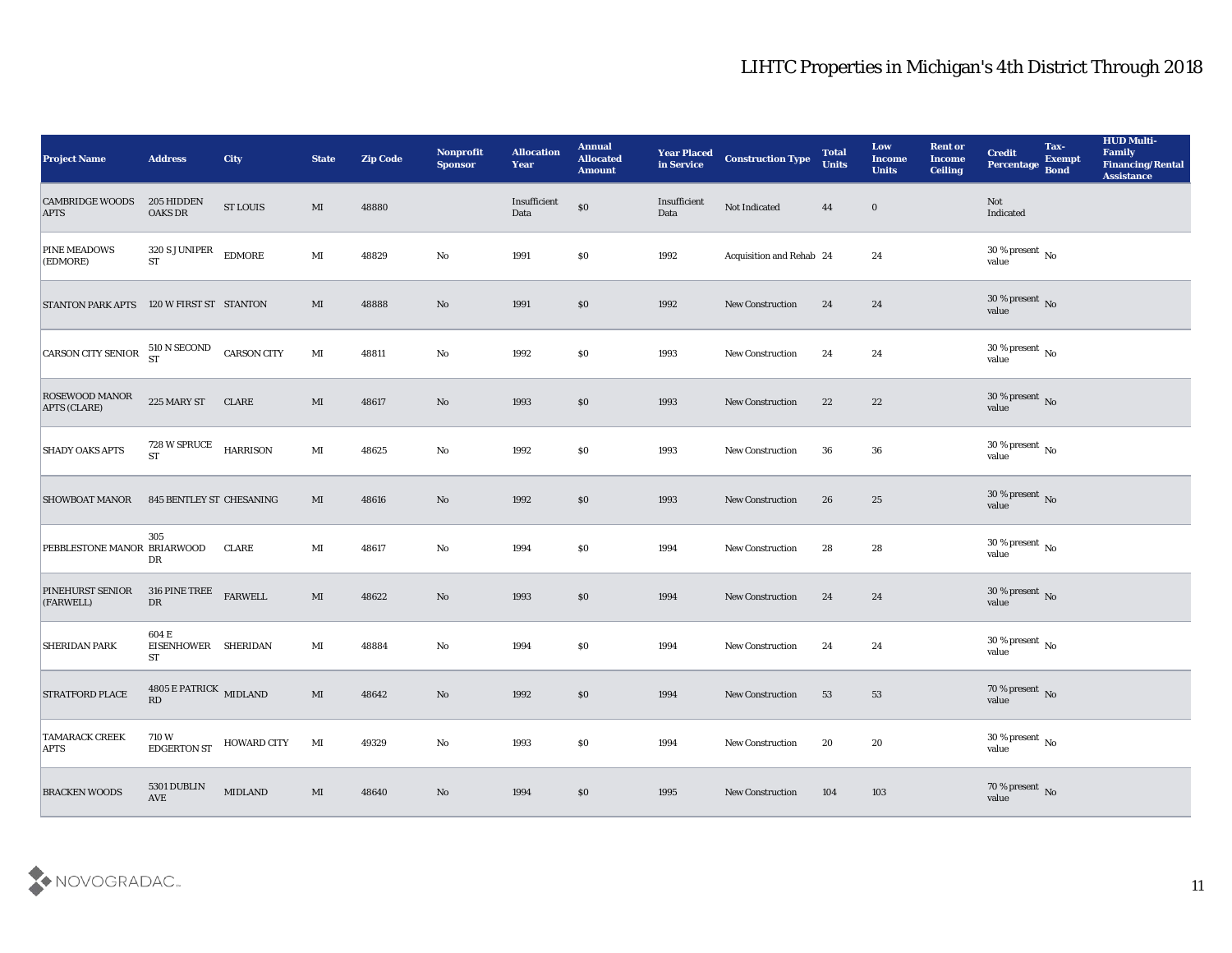| <b>Project Name</b>                      | <b>Address</b>                                          | <b>City</b>        | <b>State</b>           | <b>Zip Code</b> | Nonprofit<br><b>Sponsor</b> | <b>Allocation</b><br>Year | <b>Annual</b><br><b>Allocated</b><br><b>Amount</b> | <b>Year Placed<br/>in Service</b> | <b>Construction Type</b> | <b>Total</b><br><b>Units</b> | Low<br><b>Income</b><br><b>Units</b> | <b>Rent or</b><br><b>Income</b><br><b>Ceiling</b> | <b>Credit</b><br><b>Percentage</b> | Tax-<br><b>Exempt</b><br><b>Bond</b> | <b>HUD Multi-</b><br>Family<br><b>Financing/Rental</b><br><b>Assistance</b> |
|------------------------------------------|---------------------------------------------------------|--------------------|------------------------|-----------------|-----------------------------|---------------------------|----------------------------------------------------|-----------------------------------|--------------------------|------------------------------|--------------------------------------|---------------------------------------------------|------------------------------------|--------------------------------------|-----------------------------------------------------------------------------|
| <b>CAMBRIDGE WOODS</b><br><b>APTS</b>    | 205 HIDDEN<br><b>OAKS DR</b>                            | <b>ST LOUIS</b>    | $\mathbf{M}\mathbf{I}$ | 48880           |                             | Insufficient<br>Data      | $\$0$                                              | Insufficient<br>Data              | Not Indicated            | 44                           | $\bf{0}$                             |                                                   | Not<br>Indicated                   |                                      |                                                                             |
| <b>PINE MEADOWS</b><br>(EDMORE)          | 320 S JUNIPER<br><b>ST</b>                              | <b>EDMORE</b>      | $\mathbf{M}\mathbf{I}$ | 48829           | No                          | 1991                      | \$0                                                | 1992                              | Acquisition and Rehab 24 |                              | 24                                   |                                                   | $30\,\%$ present $\,$ No value     |                                      |                                                                             |
| STANTON PARK APTS 120 W FIRST ST STANTON |                                                         |                    | MI                     | 48888           | No                          | 1991                      | \$0                                                | 1992                              | New Construction         | 24                           | 24                                   |                                                   | $30\,\%$ present $\,$ No value     |                                      |                                                                             |
| CARSON CITY SENIOR $^{510}$ N SECOND     |                                                         | <b>CARSON CITY</b> | $\mathbf{M}$           | 48811           | No                          | 1992                      | \$0                                                | 1993                              | New Construction         | 24                           | 24                                   |                                                   | $30\,\%$ present $\,$ No value     |                                      |                                                                             |
| ROSEWOOD MANOR<br>APTS (CLARE)           | 225 MARY ST                                             | <b>CLARE</b>       | $\mathbf{M}\mathbf{I}$ | 48617           | $\mathbf{N}\mathbf{o}$      | 1993                      | \$0                                                | 1993                              | New Construction         | 22                           | 22                                   |                                                   | $30\,\%$ present $\,$ No value     |                                      |                                                                             |
| <b>SHADY OAKS APTS</b>                   | 728 W SPRUCE<br><b>ST</b>                               | <b>HARRISON</b>    | $\mathbf{M}\mathbf{I}$ | 48625           | No                          | 1992                      | \$0                                                | 1993                              | <b>New Construction</b>  | 36                           | 36                                   |                                                   | $30\,\%$ present $\,$ No value     |                                      |                                                                             |
| <b>SHOWBOAT MANOR</b>                    | 845 BENTLEY ST CHESANING                                |                    | MI                     | 48616           | No                          | 1992                      | \$0                                                | 1993                              | New Construction         | 26                           | 25                                   |                                                   | $30\,\%$ present $\,$ No value     |                                      |                                                                             |
| PEBBLESTONE MANOR BRIARWOOD              | 305<br>DR                                               | <b>CLARE</b>       | MI                     | 48617           | No                          | 1994                      | \$0                                                | 1994                              | <b>New Construction</b>  | 28                           | 28                                   |                                                   | $30\,\%$ present $\,$ No value     |                                      |                                                                             |
| <b>PINEHURST SENIOR</b><br>(FARWELL)     | 316 PINE TREE<br>DR                                     | <b>FARWELL</b>     | $\mathbf{M}\mathbf{I}$ | 48622           | No                          | 1993                      | \$0                                                | 1994                              | New Construction         | 24                           | 24                                   |                                                   | $30\,\%$ present $\,$ No value     |                                      |                                                                             |
| <b>SHERIDAN PARK</b>                     | 604 E<br>EISENHOWER SHERIDAN<br><b>ST</b>               |                    | MI                     | 48884           | No                          | 1994                      | \$0                                                | 1994                              | <b>New Construction</b>  | 24                           | 24                                   |                                                   | $30\,\%$ present $\,$ No value     |                                      |                                                                             |
| <b>STRATFORD PLACE</b>                   | <b>4805 E PATRICK MIDLAND</b><br>$\mathbf{R}\mathbf{D}$ |                    | MI                     | 48642           | No                          | 1992                      | \$0                                                | 1994                              | <b>New Construction</b>  | 53                           | 53                                   |                                                   | $70\,\%$ present $\,$ No value     |                                      |                                                                             |
| <b>TAMARACK CREEK</b><br><b>APTS</b>     | 710W<br><b>EDGERTON ST</b>                              | <b>HOWARD CITY</b> | MI                     | 49329           | $\mathbf {No}$              | 1993                      | $\$0$                                              | 1994                              | New Construction         | 20                           | $20\,$                               |                                                   | 30 % present $\,$ No $\,$<br>value |                                      |                                                                             |
| <b>BRACKEN WOODS</b>                     | 5301 DUBLIN<br>$\operatorname{AVE}$                     | <b>MIDLAND</b>     | $\mathbf{M}\mathbf{I}$ | 48640           | $\mathbf{N}\mathbf{o}$      | 1994                      | \$0                                                | 1995                              | <b>New Construction</b>  | 104                          | 103                                  |                                                   | $70\,\%$ present $\,$ No value     |                                      |                                                                             |

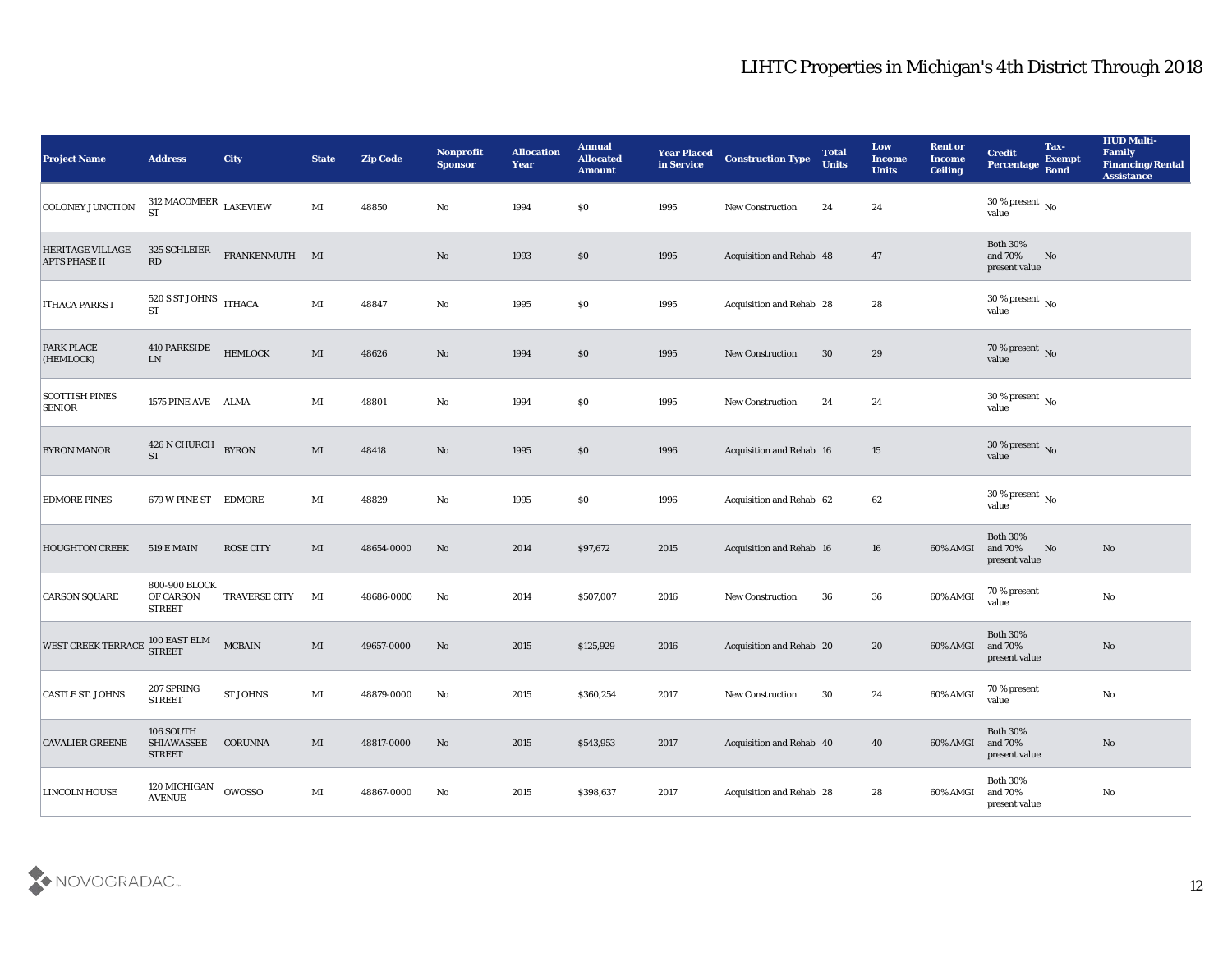| <b>Project Name</b>                             | <b>Address</b>                              | <b>City</b>          | <b>State</b>           | <b>Zip Code</b> | Nonprofit<br><b>Sponsor</b> | <b>Allocation</b><br><b>Year</b> | <b>Annual</b><br><b>Allocated</b><br><b>Amount</b> | <b>Year Placed</b><br>in Service | <b>Construction Type</b>        | <b>Total</b><br><b>Units</b> | Low<br><b>Income</b><br><b>Units</b> | <b>Rent or</b><br><b>Income</b><br><b>Ceiling</b> | <b>Credit</b><br>Percentage                 | Tax-<br><b>Exempt</b><br><b>Bond</b> | <b>HUD Multi-</b><br>Family<br><b>Financing/Rental</b><br><b>Assistance</b> |
|-------------------------------------------------|---------------------------------------------|----------------------|------------------------|-----------------|-----------------------------|----------------------------------|----------------------------------------------------|----------------------------------|---------------------------------|------------------------------|--------------------------------------|---------------------------------------------------|---------------------------------------------|--------------------------------------|-----------------------------------------------------------------------------|
| <b>COLONEY JUNCTION</b>                         | 312 MACOMBER $\rm LAKEVIEW$<br><b>ST</b>    |                      | MI                     | 48850           | No                          | 1994                             | \$0                                                | 1995                             | New Construction                | 24                           | 24                                   |                                                   | 30 % present $\,$ No $\,$<br>value          |                                      |                                                                             |
| <b>HERITAGE VILLAGE</b><br><b>APTS PHASE II</b> | 325 SCHLEIER<br>RD                          | FRANKENMUTH MI       |                        |                 | No                          | 1993                             | \$0                                                | 1995                             | Acquisition and Rehab 48        |                              | 47                                   |                                                   | <b>Both 30%</b><br>and 70%<br>present value | No                                   |                                                                             |
| <b>ITHACA PARKS I</b>                           | 520 S ST JOHNS ITHACA<br><b>ST</b>          |                      | $\mathbf{M}\mathbf{I}$ | 48847           | No                          | 1995                             | \$0                                                | 1995                             | Acquisition and Rehab 28        |                              | 28                                   |                                                   | 30 % present $\,$ No $\,$<br>value          |                                      |                                                                             |
| <b>PARK PLACE</b><br>(HEMLOCK)                  | 410 PARKSIDE<br>${\rm LN}$                  | <b>HEMLOCK</b>       | $\mathbf{M}\mathbf{I}$ | 48626           | No                          | 1994                             | \$0                                                | 1995                             | <b>New Construction</b>         | 30                           | 29                                   |                                                   | $70\,\%$ present $\,$ No value              |                                      |                                                                             |
| <b>SCOTTISH PINES</b><br><b>SENIOR</b>          | 1575 PINE AVE ALMA                          |                      | MI                     | 48801           | No                          | 1994                             | \$0                                                | 1995                             | <b>New Construction</b>         | 24                           | 24                                   |                                                   | 30 % present $\,$ No $\,$<br>value          |                                      |                                                                             |
| <b>BYRON MANOR</b>                              | 426 N CHURCH<br>${\cal S}{\cal T}$          | <b>BYRON</b>         | MI                     | 48418           | No                          | 1995                             | \$0                                                | 1996                             | <b>Acquisition and Rehab 16</b> |                              | 15                                   |                                                   | $30\,\%$ present $\,$ No value              |                                      |                                                                             |
| <b>EDMORE PINES</b>                             | 679 W PINE ST                               | EDMORE               | MI                     | 48829           | No                          | 1995                             | $\$0$                                              | 1996                             | Acquisition and Rehab 62        |                              | 62                                   |                                                   | 30 % present $\,$ No $\,$<br>value          |                                      |                                                                             |
| <b>HOUGHTON CREEK</b>                           | <b>519 E MAIN</b>                           | <b>ROSE CITY</b>     | MI                     | 48654-0000      | No                          | 2014                             | \$97,672                                           | 2015                             | <b>Acquisition and Rehab 16</b> |                              | 16                                   | 60% AMGI                                          | <b>Both 30%</b><br>and 70%<br>present value | No                                   | No                                                                          |
| <b>CARSON SQUARE</b>                            | 800-900 BLOCK<br>OF CARSON<br><b>STREET</b> | <b>TRAVERSE CITY</b> | MI                     | 48686-0000      | No                          | 2014                             | \$507,007                                          | 2016                             | <b>New Construction</b>         | 36                           | 36                                   | 60% AMGI                                          | 70 % present<br>value                       |                                      | $\rm No$                                                                    |
| WEST CREEK TERRACE                              | 100 EAST ELM<br>STREET                      | <b>MCBAIN</b>        | MI                     | 49657-0000      | No                          | 2015                             | \$125,929                                          | 2016                             | Acquisition and Rehab 20        |                              | 20                                   | 60% AMGI                                          | <b>Both 30%</b><br>and 70%<br>present value |                                      | No                                                                          |
| <b>CASTLE ST. JOHNS</b>                         | 207 SPRING<br><b>STREET</b>                 | <b>ST JOHNS</b>      | MI                     | 48879-0000      | No                          | 2015                             | \$360,254                                          | 2017                             | <b>New Construction</b>         | 30                           | 24                                   | 60% AMGI                                          | 70 % present<br>value                       |                                      | $\mathbf{N}\mathbf{o}$                                                      |
| <b>CAVALIER GREENE</b>                          | 106 SOUTH<br>SHIAWASSEE<br><b>STREET</b>    | <b>CORUNNA</b>       | $\mathbf{M}\mathbf{I}$ | 48817-0000      | No                          | 2015                             | \$543,953                                          | 2017                             | Acquisition and Rehab 40        |                              | 40                                   | 60% AMGI                                          | <b>Both 30%</b><br>and 70%<br>present value |                                      | No                                                                          |
| <b>LINCOLN HOUSE</b>                            | 120 MICHIGAN<br><b>AVENUE</b>               | <b>OWOSSO</b>        | $\mathbf{M}\mathbf{I}$ | 48867-0000      | No                          | 2015                             | \$398,637                                          | 2017                             | Acquisition and Rehab 28        |                              | 28                                   | 60% AMGI                                          | <b>Both 30%</b><br>and 70%<br>present value |                                      | ${\bf No}$                                                                  |